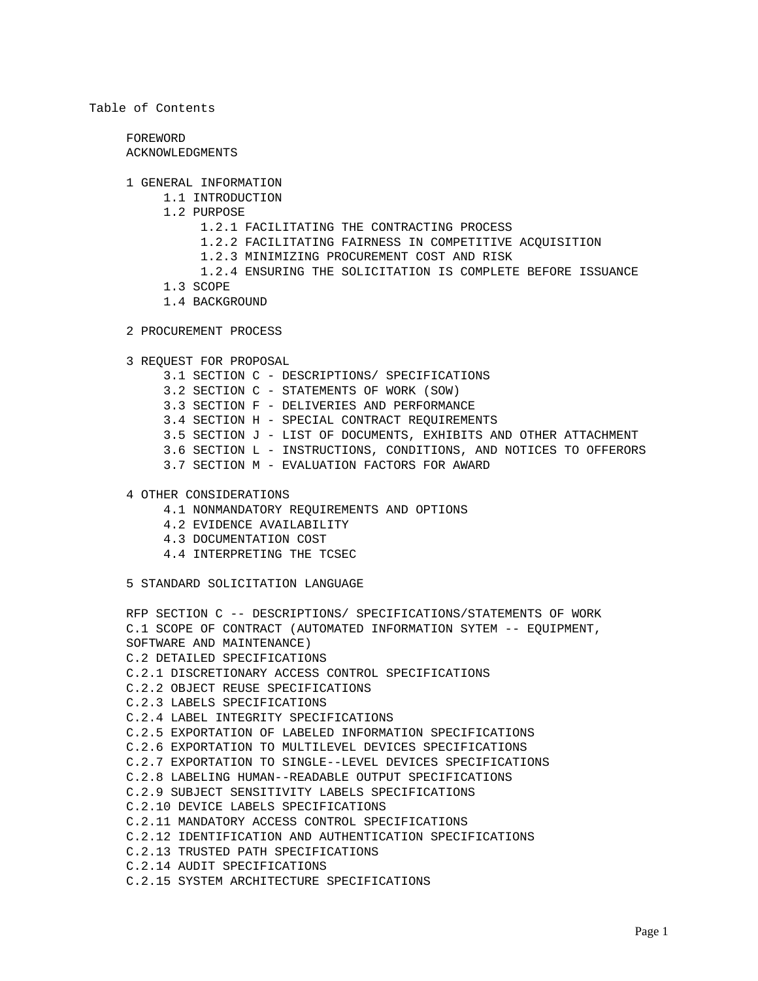# Table of Contents

 FOREWORD ACKNOWLEDGMENTS

- 1 GENERAL INFORMATION
	- 1.1 INTRODUCTION
		- 1.2 PURPOSE
			- 1.2.1 FACILITATING THE CONTRACTING PROCESS
			- 1.2.2 FACILITATING FAIRNESS IN COMPETITIVE ACQUISITION
			- 1.2.3 MINIMIZING PROCUREMENT COST AND RISK
			- 1.2.4 ENSURING THE SOLICITATION IS COMPLETE BEFORE ISSUANCE
		- 1.3 SCOPE
		- 1.4 BACKGROUND
- 2 PROCUREMENT PROCESS

 3 REQUEST FOR PROPOSAL 3.1 SECTION C - DESCRIPTIONS/ SPECIFICATIONS 3.2 SECTION C - STATEMENTS OF WORK (SOW) 3.3 SECTION F - DELIVERIES AND PERFORMANCE 3.4 SECTION H - SPECIAL CONTRACT REQUIREMENTS 3.5 SECTION J - LIST OF DOCUMENTS, EXHIBITS AND OTHER ATTACHMENT 3.6 SECTION L - INSTRUCTIONS, CONDITIONS, AND NOTICES TO OFFERORS 3.7 SECTION M - EVALUATION FACTORS FOR AWARD

- 4 OTHER CONSIDERATIONS
	- 4.1 NONMANDATORY REQUIREMENTS AND OPTIONS
	- 4.2 EVIDENCE AVAILABILITY
	- 4.3 DOCUMENTATION COST
	- 4.4 INTERPRETING THE TCSEC

5 STANDARD SOLICITATION LANGUAGE

```
 RFP SECTION C -- DESCRIPTIONS/ SPECIFICATIONS/STATEMENTS OF WORK
C.1 SCOPE OF CONTRACT (AUTOMATED INFORMATION SYTEM -- EQUIPMENT,
SOFTWARE AND MAINTENANCE)
C.2 DETAILED SPECIFICATIONS
C.2.1 DISCRETIONARY ACCESS CONTROL SPECIFICATIONS
C.2.2 OBJECT REUSE SPECIFICATIONS
C.2.3 LABELS SPECIFICATIONS
C.2.4 LABEL INTEGRITY SPECIFICATIONS
C.2.5 EXPORTATION OF LABELED INFORMATION SPECIFICATIONS
C.2.6 EXPORTATION TO MULTILEVEL DEVICES SPECIFICATIONS
C.2.7 EXPORTATION TO SINGLE--LEVEL DEVICES SPECIFICATIONS
C.2.8 LABELING HUMAN--READABLE OUTPUT SPECIFICATIONS
C.2.9 SUBJECT SENSITIVITY LABELS SPECIFICATIONS
C.2.10 DEVICE LABELS SPECIFICATIONS
C.2.11 MANDATORY ACCESS CONTROL SPECIFICATIONS
C.2.12 IDENTIFICATION AND AUTHENTICATION SPECIFICATIONS
C.2.13 TRUSTED PATH SPECIFICATIONS
C.2.14 AUDIT SPECIFICATIONS
C.2.15 SYSTEM ARCHITECTURE SPECIFICATIONS
```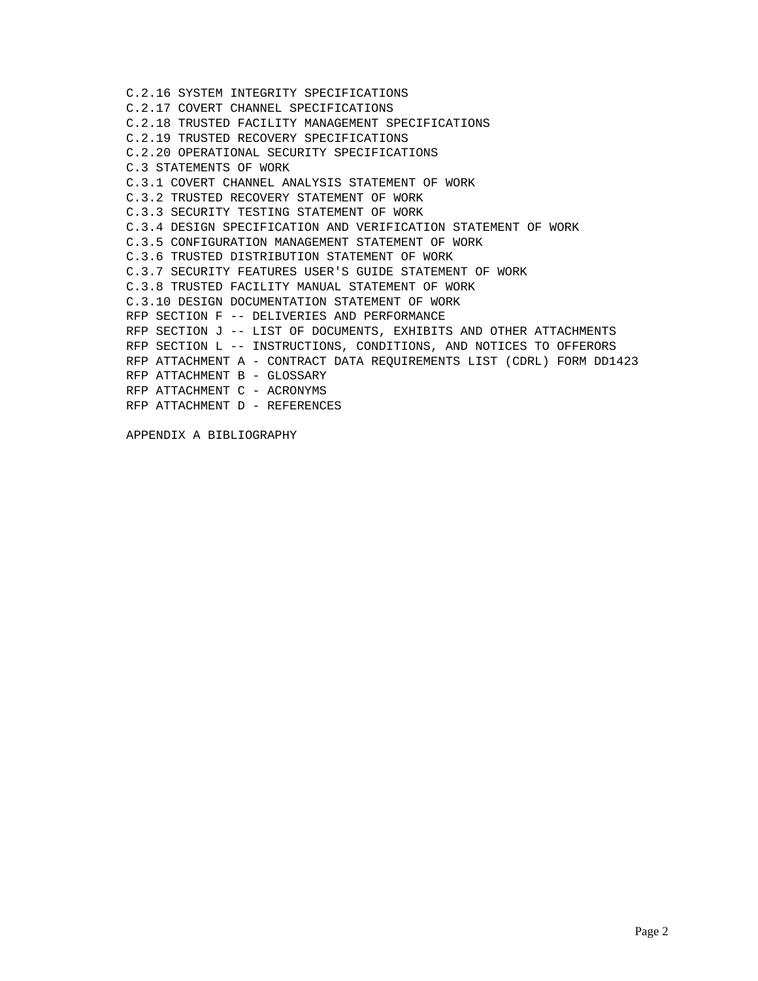C.2.16 SYSTEM INTEGRITY SPECIFICATIONS C.2.17 COVERT CHANNEL SPECIFICATIONS C.2.18 TRUSTED FACILITY MANAGEMENT SPECIFICATIONS C.2.19 TRUSTED RECOVERY SPECIFICATIONS C.2.20 OPERATIONAL SECURITY SPECIFICATIONS C.3 STATEMENTS OF WORK C.3.1 COVERT CHANNEL ANALYSIS STATEMENT OF WORK C.3.2 TRUSTED RECOVERY STATEMENT OF WORK C.3.3 SECURITY TESTING STATEMENT OF WORK C.3.4 DESIGN SPECIFICATION AND VERIFICATION STATEMENT OF WORK C.3.5 CONFIGURATION MANAGEMENT STATEMENT OF WORK C.3.6 TRUSTED DISTRIBUTION STATEMENT OF WORK C.3.7 SECURITY FEATURES USER'S GUIDE STATEMENT OF WORK C.3.8 TRUSTED FACILITY MANUAL STATEMENT OF WORK C.3.10 DESIGN DOCUMENTATION STATEMENT OF WORK RFP SECTION F -- DELIVERIES AND PERFORMANCE RFP SECTION J -- LIST OF DOCUMENTS, EXHIBITS AND OTHER ATTACHMENTS RFP SECTION L -- INSTRUCTIONS, CONDITIONS, AND NOTICES TO OFFERORS RFP ATTACHMENT A - CONTRACT DATA REQUIREMENTS LIST (CDRL) FORM DD1423 RFP ATTACHMENT B - GLOSSARY RFP ATTACHMENT C - ACRONYMS RFP ATTACHMENT D - REFERENCES

APPENDIX A BIBLIOGRAPHY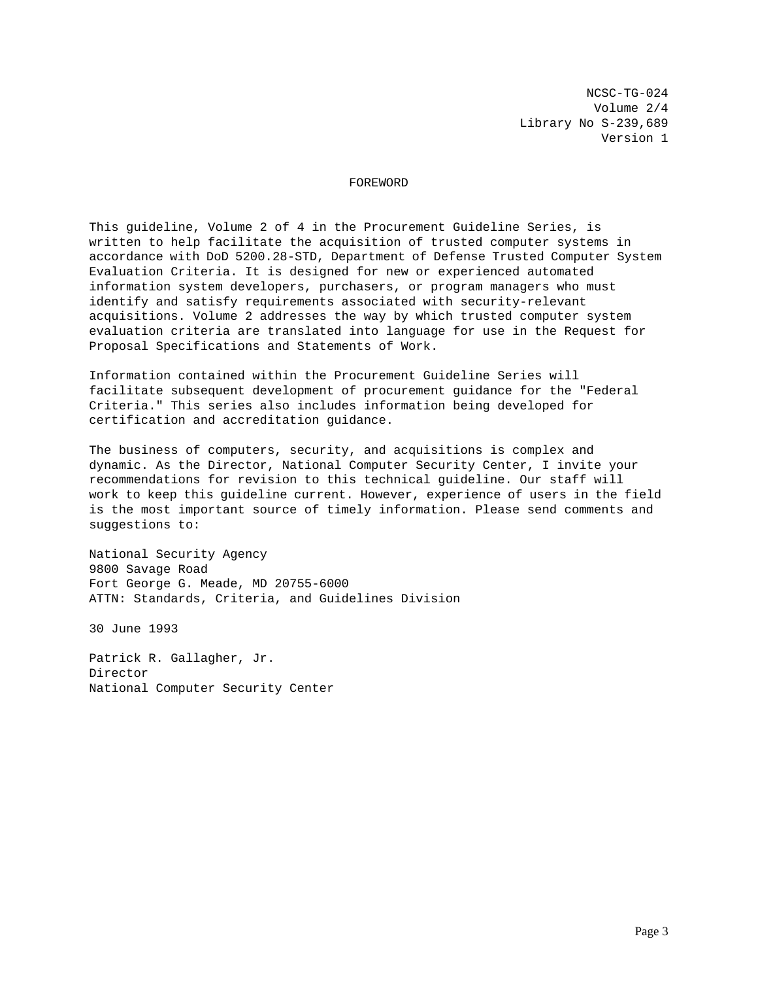NCSC-TG-024 Volume 2/4 Library No S-239,689 Version 1

## FOREWORD

This guideline, Volume 2 of 4 in the Procurement Guideline Series, is written to help facilitate the acquisition of trusted computer systems in accordance with DoD 5200.28-STD, Department of Defense Trusted Computer System Evaluation Criteria. It is designed for new or experienced automated information system developers, purchasers, or program managers who must identify and satisfy requirements associated with security-relevant acquisitions. Volume 2 addresses the way by which trusted computer system evaluation criteria are translated into language for use in the Request for Proposal Specifications and Statements of Work.

Information contained within the Procurement Guideline Series will facilitate subsequent development of procurement guidance for the "Federal Criteria." This series also includes information being developed for certification and accreditation guidance.

The business of computers, security, and acquisitions is complex and dynamic. As the Director, National Computer Security Center, I invite your recommendations for revision to this technical guideline. Our staff will work to keep this guideline current. However, experience of users in the field is the most important source of timely information. Please send comments and suggestions to:

National Security Agency 9800 Savage Road Fort George G. Meade, MD 20755-6000 ATTN: Standards, Criteria, and Guidelines Division

30 June 1993

Patrick R. Gallagher, Jr. Director National Computer Security Center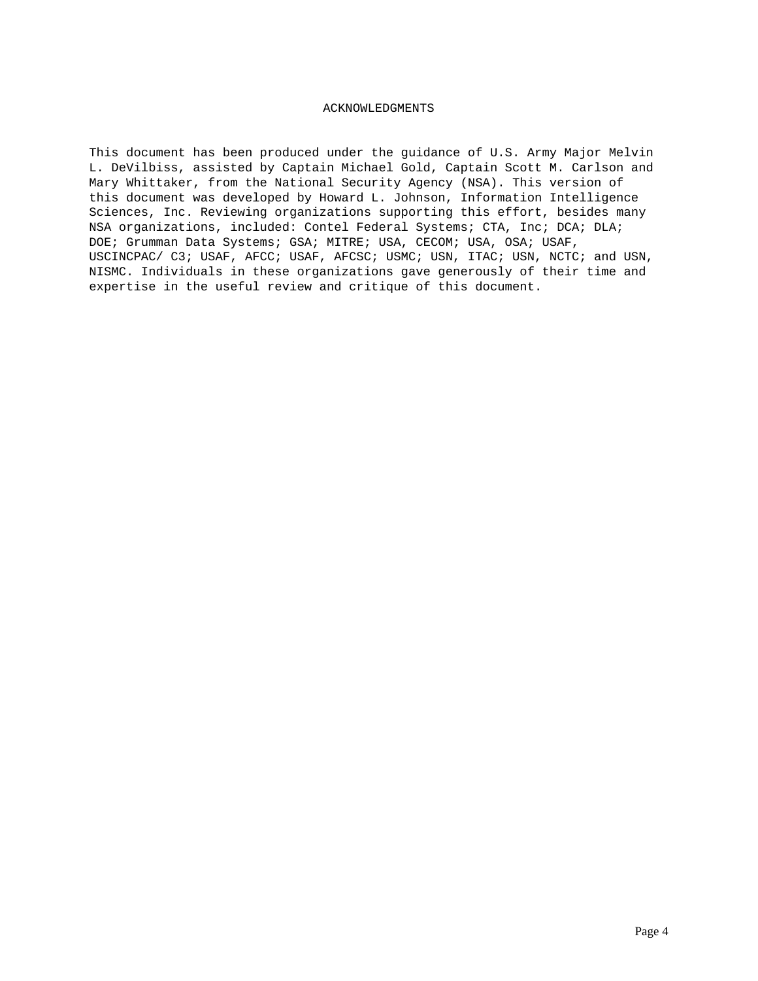# ACKNOWLEDGMENTS

This document has been produced under the guidance of U.S. Army Major Melvin L. DeVilbiss, assisted by Captain Michael Gold, Captain Scott M. Carlson and Mary Whittaker, from the National Security Agency (NSA). This version of this document was developed by Howard L. Johnson, Information Intelligence Sciences, Inc. Reviewing organizations supporting this effort, besides many NSA organizations, included: Contel Federal Systems; CTA, Inc; DCA; DLA; DOE; Grumman Data Systems; GSA; MITRE; USA, CECOM; USA, OSA; USAF, USCINCPAC/ C3; USAF, AFCC; USAF, AFCSC; USMC; USN, ITAC; USN, NCTC; and USN, NISMC. Individuals in these organizations gave generously of their time and expertise in the useful review and critique of this document.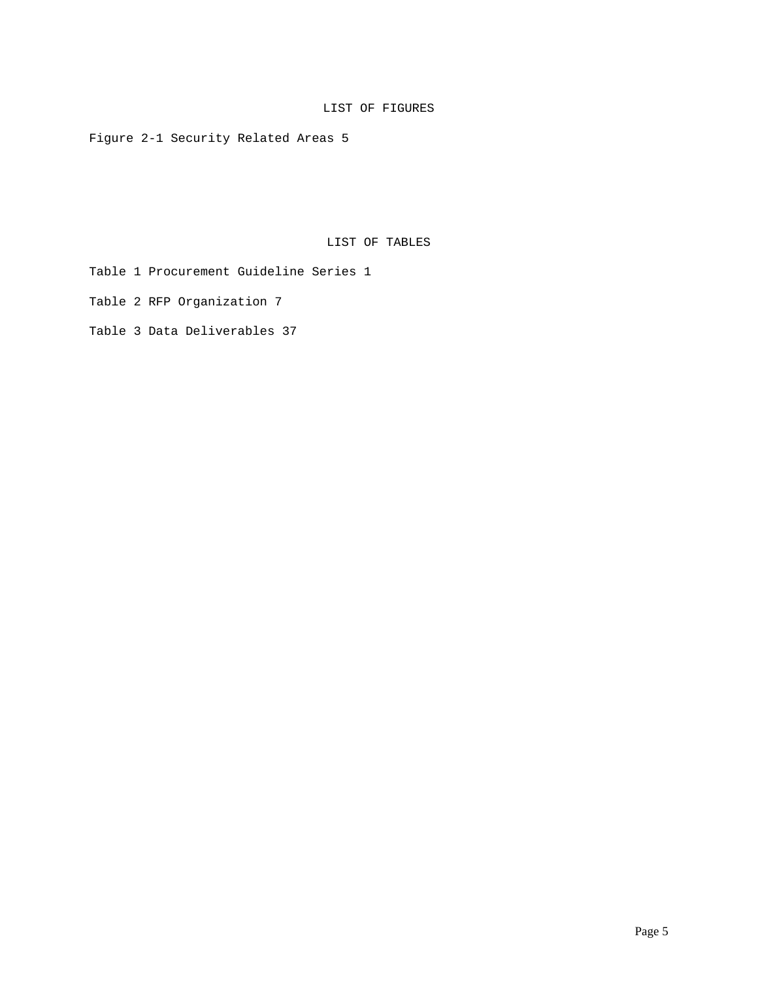# LIST OF FIGURES

Figure 2-1 Security Related Areas 5

LIST OF TABLES

Table 1 Procurement Guideline Series 1

Table 2 RFP Organization 7

Table 3 Data Deliverables 37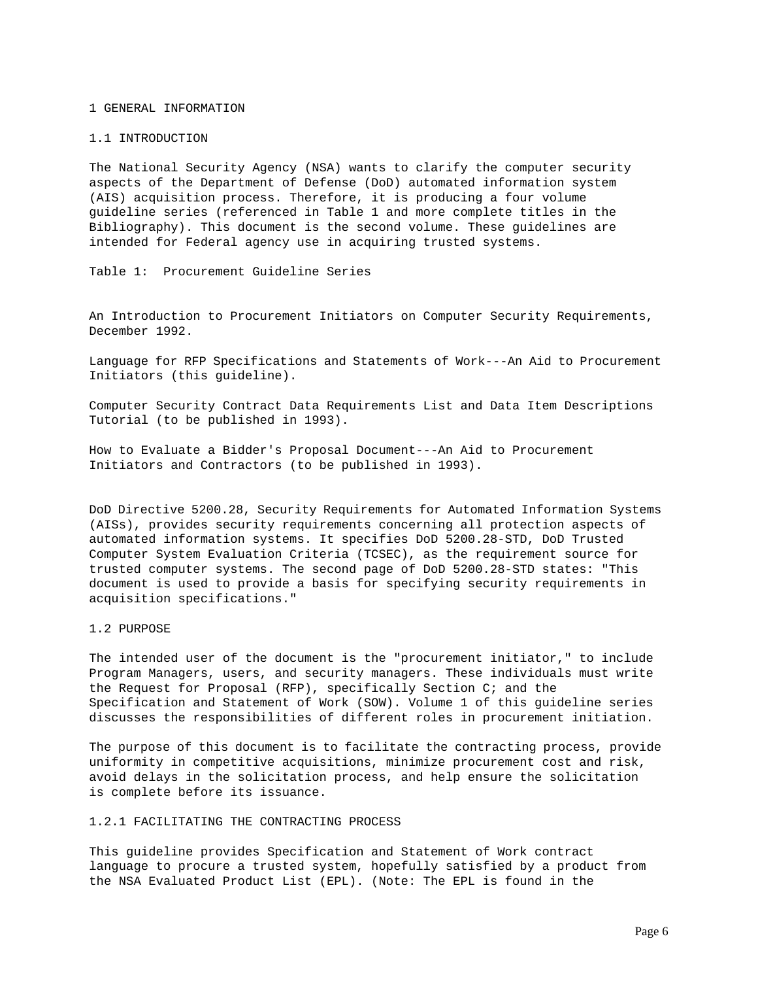### 1 GENERAL INFORMATION

### 1.1 INTRODUCTION

The National Security Agency (NSA) wants to clarify the computer security aspects of the Department of Defense (DoD) automated information system (AIS) acquisition process. Therefore, it is producing a four volume guideline series (referenced in Table 1 and more complete titles in the Bibliography). This document is the second volume. These guidelines are intended for Federal agency use in acquiring trusted systems.

Table 1: Procurement Guideline Series

An Introduction to Procurement Initiators on Computer Security Requirements, December 1992.

Language for RFP Specifications and Statements of Work---An Aid to Procurement Initiators (this guideline).

Computer Security Contract Data Requirements List and Data Item Descriptions Tutorial (to be published in 1993).

How to Evaluate a Bidder's Proposal Document---An Aid to Procurement Initiators and Contractors (to be published in 1993).

DoD Directive 5200.28, Security Requirements for Automated Information Systems (AISs), provides security requirements concerning all protection aspects of automated information systems. It specifies DoD 5200.28-STD, DoD Trusted Computer System Evaluation Criteria (TCSEC), as the requirement source for trusted computer systems. The second page of DoD 5200.28-STD states: "This document is used to provide a basis for specifying security requirements in acquisition specifications."

## 1.2 PURPOSE

The intended user of the document is the "procurement initiator," to include Program Managers, users, and security managers. These individuals must write the Request for Proposal (RFP), specifically Section C; and the Specification and Statement of Work (SOW). Volume 1 of this guideline series discusses the responsibilities of different roles in procurement initiation.

The purpose of this document is to facilitate the contracting process, provide uniformity in competitive acquisitions, minimize procurement cost and risk, avoid delays in the solicitation process, and help ensure the solicitation is complete before its issuance.

# 1.2.1 FACILITATING THE CONTRACTING PROCESS

This guideline provides Specification and Statement of Work contract language to procure a trusted system, hopefully satisfied by a product from the NSA Evaluated Product List (EPL). (Note: The EPL is found in the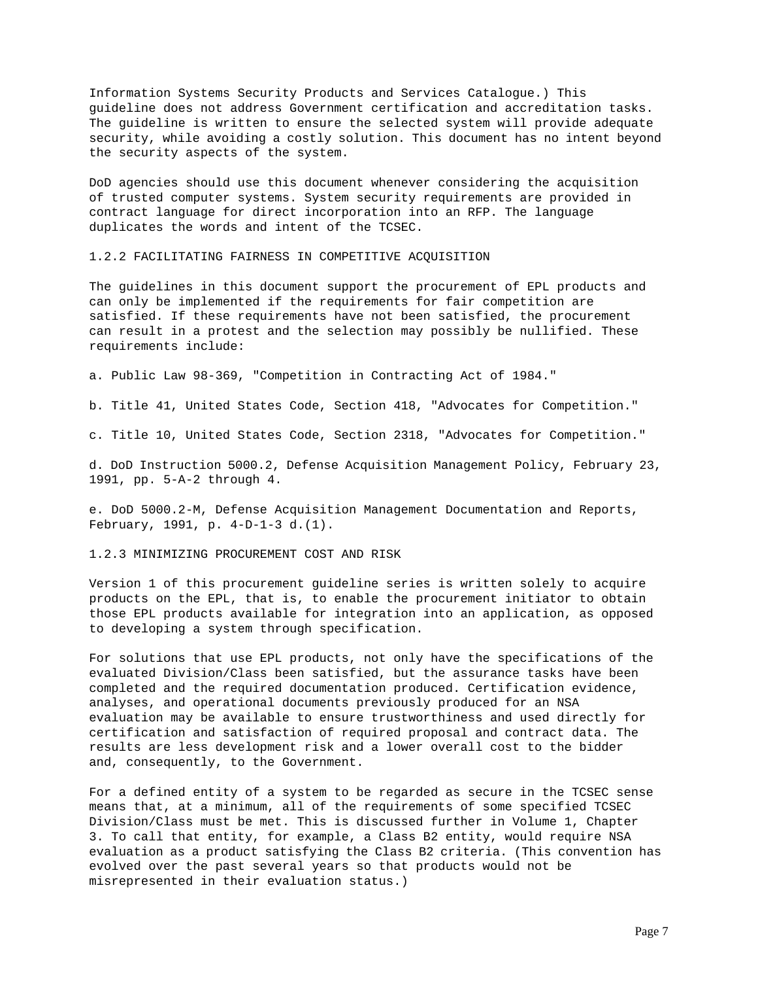Information Systems Security Products and Services Catalogue.) This guideline does not address Government certification and accreditation tasks. The guideline is written to ensure the selected system will provide adequate security, while avoiding a costly solution. This document has no intent beyond the security aspects of the system.

DoD agencies should use this document whenever considering the acquisition of trusted computer systems. System security requirements are provided in contract language for direct incorporation into an RFP. The language duplicates the words and intent of the TCSEC.

1.2.2 FACILITATING FAIRNESS IN COMPETITIVE ACQUISITION

The guidelines in this document support the procurement of EPL products and can only be implemented if the requirements for fair competition are satisfied. If these requirements have not been satisfied, the procurement can result in a protest and the selection may possibly be nullified. These requirements include:

a. Public Law 98-369, "Competition in Contracting Act of 1984."

b. Title 41, United States Code, Section 418, "Advocates for Competition."

c. Title 10, United States Code, Section 2318, "Advocates for Competition."

d. DoD Instruction 5000.2, Defense Acquisition Management Policy, February 23, 1991, pp. 5-A-2 through 4.

e. DoD 5000.2-M, Defense Acquisition Management Documentation and Reports, February, 1991, p. 4-D-1-3 d.(1).

1.2.3 MINIMIZING PROCUREMENT COST AND RISK

Version 1 of this procurement guideline series is written solely to acquire products on the EPL, that is, to enable the procurement initiator to obtain those EPL products available for integration into an application, as opposed to developing a system through specification.

For solutions that use EPL products, not only have the specifications of the evaluated Division/Class been satisfied, but the assurance tasks have been completed and the required documentation produced. Certification evidence, analyses, and operational documents previously produced for an NSA evaluation may be available to ensure trustworthiness and used directly for certification and satisfaction of required proposal and contract data. The results are less development risk and a lower overall cost to the bidder and, consequently, to the Government.

For a defined entity of a system to be regarded as secure in the TCSEC sense means that, at a minimum, all of the requirements of some specified TCSEC Division/Class must be met. This is discussed further in Volume 1, Chapter 3. To call that entity, for example, a Class B2 entity, would require NSA evaluation as a product satisfying the Class B2 criteria. (This convention has evolved over the past several years so that products would not be misrepresented in their evaluation status.)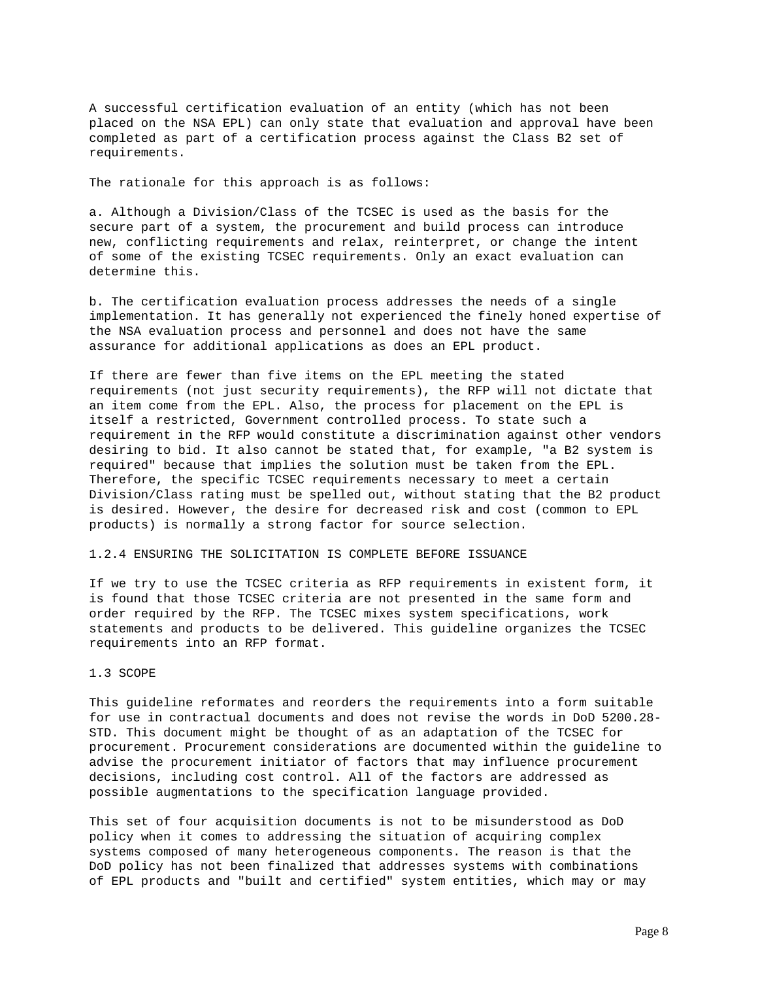A successful certification evaluation of an entity (which has not been placed on the NSA EPL) can only state that evaluation and approval have been completed as part of a certification process against the Class B2 set of requirements.

The rationale for this approach is as follows:

a. Although a Division/Class of the TCSEC is used as the basis for the secure part of a system, the procurement and build process can introduce new, conflicting requirements and relax, reinterpret, or change the intent of some of the existing TCSEC requirements. Only an exact evaluation can determine this.

b. The certification evaluation process addresses the needs of a single implementation. It has generally not experienced the finely honed expertise of the NSA evaluation process and personnel and does not have the same assurance for additional applications as does an EPL product.

If there are fewer than five items on the EPL meeting the stated requirements (not just security requirements), the RFP will not dictate that an item come from the EPL. Also, the process for placement on the EPL is itself a restricted, Government controlled process. To state such a requirement in the RFP would constitute a discrimination against other vendors desiring to bid. It also cannot be stated that, for example, "a B2 system is required" because that implies the solution must be taken from the EPL. Therefore, the specific TCSEC requirements necessary to meet a certain Division/Class rating must be spelled out, without stating that the B2 product is desired. However, the desire for decreased risk and cost (common to EPL products) is normally a strong factor for source selection.

# 1.2.4 ENSURING THE SOLICITATION IS COMPLETE BEFORE ISSUANCE

If we try to use the TCSEC criteria as RFP requirements in existent form, it is found that those TCSEC criteria are not presented in the same form and order required by the RFP. The TCSEC mixes system specifications, work statements and products to be delivered. This guideline organizes the TCSEC requirements into an RFP format.

# 1.3 SCOPE

This guideline reformates and reorders the requirements into a form suitable for use in contractual documents and does not revise the words in DoD 5200.28- STD. This document might be thought of as an adaptation of the TCSEC for procurement. Procurement considerations are documented within the guideline to advise the procurement initiator of factors that may influence procurement decisions, including cost control. All of the factors are addressed as possible augmentations to the specification language provided.

This set of four acquisition documents is not to be misunderstood as DoD policy when it comes to addressing the situation of acquiring complex systems composed of many heterogeneous components. The reason is that the DoD policy has not been finalized that addresses systems with combinations of EPL products and "built and certified" system entities, which may or may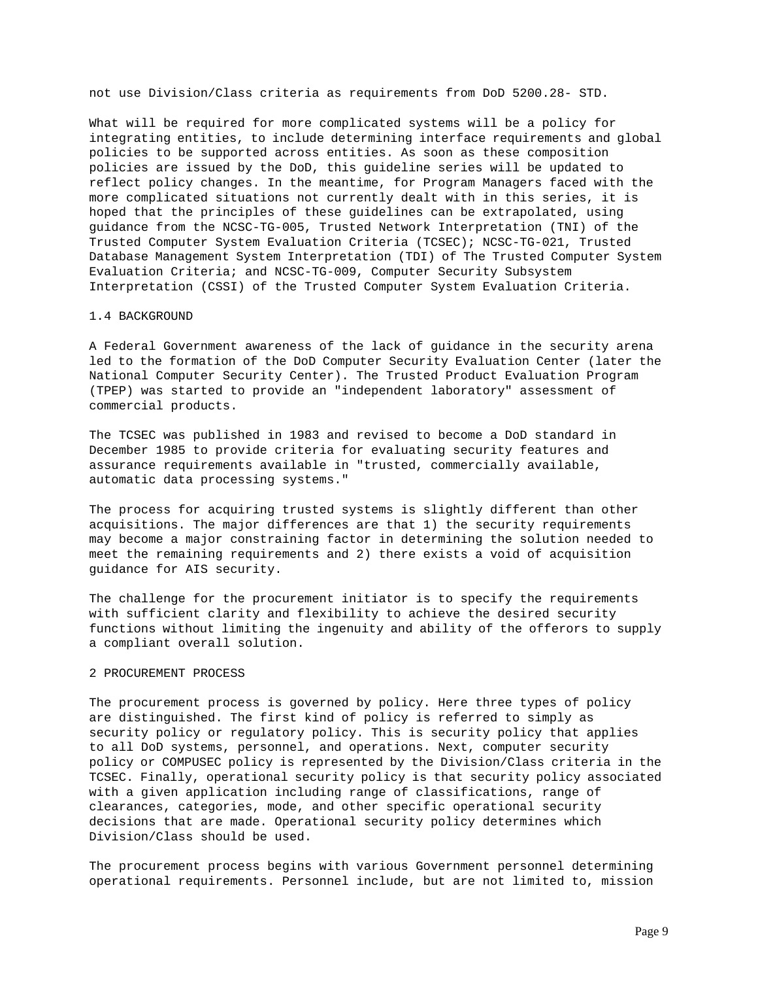not use Division/Class criteria as requirements from DoD 5200.28- STD.

What will be required for more complicated systems will be a policy for integrating entities, to include determining interface requirements and global policies to be supported across entities. As soon as these composition policies are issued by the DoD, this guideline series will be updated to reflect policy changes. In the meantime, for Program Managers faced with the more complicated situations not currently dealt with in this series, it is hoped that the principles of these guidelines can be extrapolated, using guidance from the NCSC-TG-005, Trusted Network Interpretation (TNI) of the Trusted Computer System Evaluation Criteria (TCSEC); NCSC-TG-021, Trusted Database Management System Interpretation (TDI) of The Trusted Computer System Evaluation Criteria; and NCSC-TG-009, Computer Security Subsystem Interpretation (CSSI) of the Trusted Computer System Evaluation Criteria.

#### 1.4 BACKGROUND

A Federal Government awareness of the lack of guidance in the security arena led to the formation of the DoD Computer Security Evaluation Center (later the National Computer Security Center). The Trusted Product Evaluation Program (TPEP) was started to provide an "independent laboratory" assessment of commercial products.

The TCSEC was published in 1983 and revised to become a DoD standard in December 1985 to provide criteria for evaluating security features and assurance requirements available in "trusted, commercially available, automatic data processing systems."

The process for acquiring trusted systems is slightly different than other acquisitions. The major differences are that 1) the security requirements may become a major constraining factor in determining the solution needed to meet the remaining requirements and 2) there exists a void of acquisition guidance for AIS security.

The challenge for the procurement initiator is to specify the requirements with sufficient clarity and flexibility to achieve the desired security functions without limiting the ingenuity and ability of the offerors to supply a compliant overall solution.

## 2 PROCUREMENT PROCESS

The procurement process is governed by policy. Here three types of policy are distinguished. The first kind of policy is referred to simply as security policy or regulatory policy. This is security policy that applies to all DoD systems, personnel, and operations. Next, computer security policy or COMPUSEC policy is represented by the Division/Class criteria in the TCSEC. Finally, operational security policy is that security policy associated with a given application including range of classifications, range of clearances, categories, mode, and other specific operational security decisions that are made. Operational security policy determines which Division/Class should be used.

The procurement process begins with various Government personnel determining operational requirements. Personnel include, but are not limited to, mission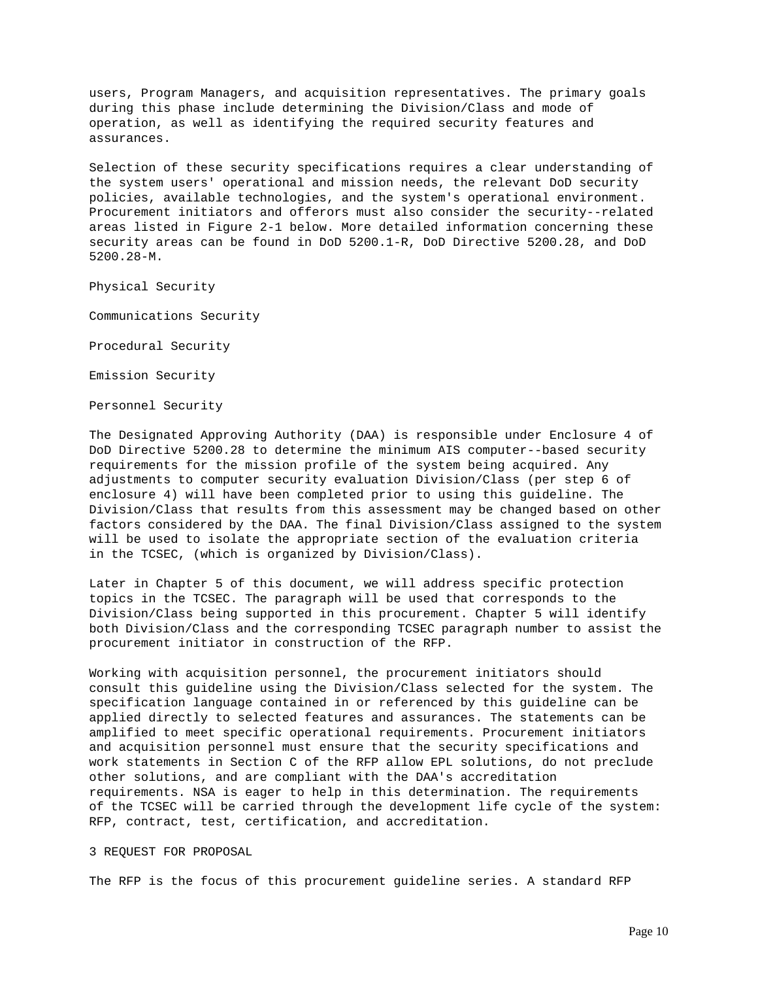users, Program Managers, and acquisition representatives. The primary goals during this phase include determining the Division/Class and mode of operation, as well as identifying the required security features and assurances.

Selection of these security specifications requires a clear understanding of the system users' operational and mission needs, the relevant DoD security policies, available technologies, and the system's operational environment. Procurement initiators and offerors must also consider the security--related areas listed in Figure 2-1 below. More detailed information concerning these security areas can be found in DoD 5200.1-R, DoD Directive 5200.28, and DoD 5200.28-M.

Physical Security

Communications Security

Procedural Security

Emission Security

Personnel Security

The Designated Approving Authority (DAA) is responsible under Enclosure 4 of DoD Directive 5200.28 to determine the minimum AIS computer--based security requirements for the mission profile of the system being acquired. Any adjustments to computer security evaluation Division/Class (per step 6 of enclosure 4) will have been completed prior to using this guideline. The Division/Class that results from this assessment may be changed based on other factors considered by the DAA. The final Division/Class assigned to the system will be used to isolate the appropriate section of the evaluation criteria in the TCSEC, (which is organized by Division/Class).

Later in Chapter 5 of this document, we will address specific protection topics in the TCSEC. The paragraph will be used that corresponds to the Division/Class being supported in this procurement. Chapter 5 will identify both Division/Class and the corresponding TCSEC paragraph number to assist the procurement initiator in construction of the RFP.

Working with acquisition personnel, the procurement initiators should consult this guideline using the Division/Class selected for the system. The specification language contained in or referenced by this guideline can be applied directly to selected features and assurances. The statements can be amplified to meet specific operational requirements. Procurement initiators and acquisition personnel must ensure that the security specifications and work statements in Section C of the RFP allow EPL solutions, do not preclude other solutions, and are compliant with the DAA's accreditation requirements. NSA is eager to help in this determination. The requirements of the TCSEC will be carried through the development life cycle of the system: RFP, contract, test, certification, and accreditation.

# 3 REQUEST FOR PROPOSAL

The RFP is the focus of this procurement guideline series. A standard RFP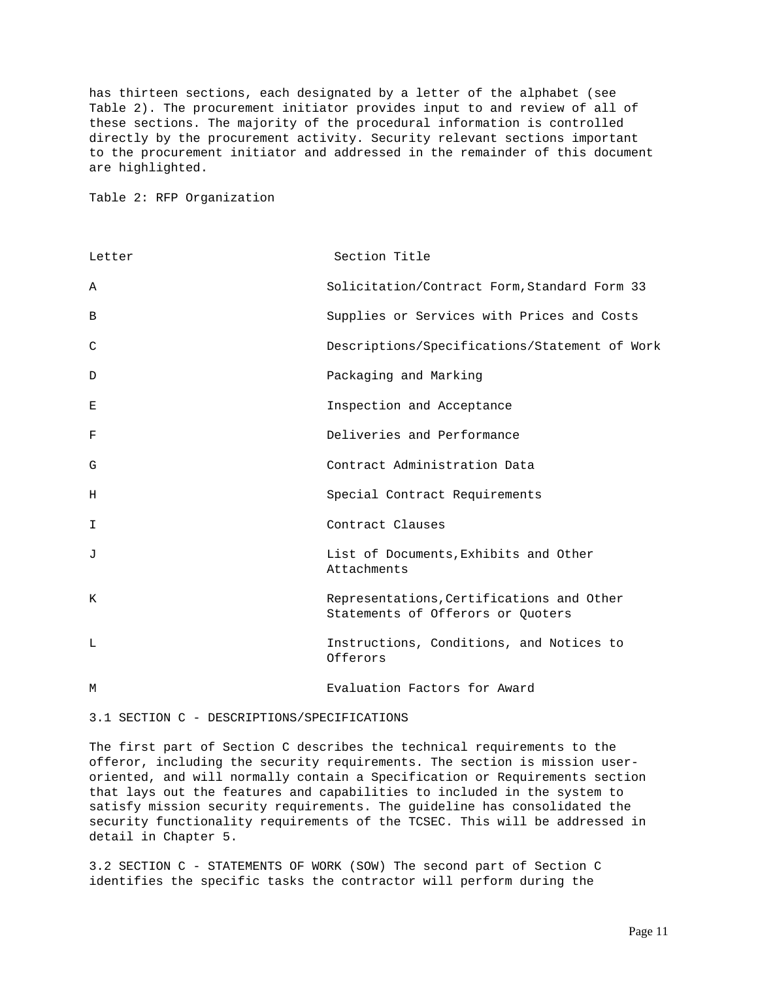has thirteen sections, each designated by a letter of the alphabet (see Table 2). The procurement initiator provides input to and review of all of these sections. The majority of the procedural information is controlled directly by the procurement activity. Security relevant sections important to the procurement initiator and addressed in the remainder of this document are highlighted.

Table 2: RFP Organization

| Letter       | Section Title                                                                  |
|--------------|--------------------------------------------------------------------------------|
| Α            | Solicitation/Contract Form, Standard Form 33                                   |
| B            | Supplies or Services with Prices and Costs                                     |
| C            | Descriptions/Specifications/Statement of Work                                  |
| D            | Packaging and Marking                                                          |
| E            | Inspection and Acceptance                                                      |
| F            | Deliveries and Performance                                                     |
| G            | Contract Administration Data                                                   |
| Н            | Special Contract Requirements                                                  |
| I            | Contract Clauses                                                               |
| $\mathbf{J}$ | List of Documents, Exhibits and Other<br>Attachments                           |
| K            | Representations, Certifications and Other<br>Statements of Offerors or Quoters |
| L            | Instructions, Conditions, and Notices to<br>Offerors                           |
| M            | Evaluation Factors for Award                                                   |

3.1 SECTION C - DESCRIPTIONS/SPECIFICATIONS

The first part of Section C describes the technical requirements to the offeror, including the security requirements. The section is mission useroriented, and will normally contain a Specification or Requirements section that lays out the features and capabilities to included in the system to satisfy mission security requirements. The guideline has consolidated the security functionality requirements of the TCSEC. This will be addressed in detail in Chapter 5.

3.2 SECTION C - STATEMENTS OF WORK (SOW) The second part of Section C identifies the specific tasks the contractor will perform during the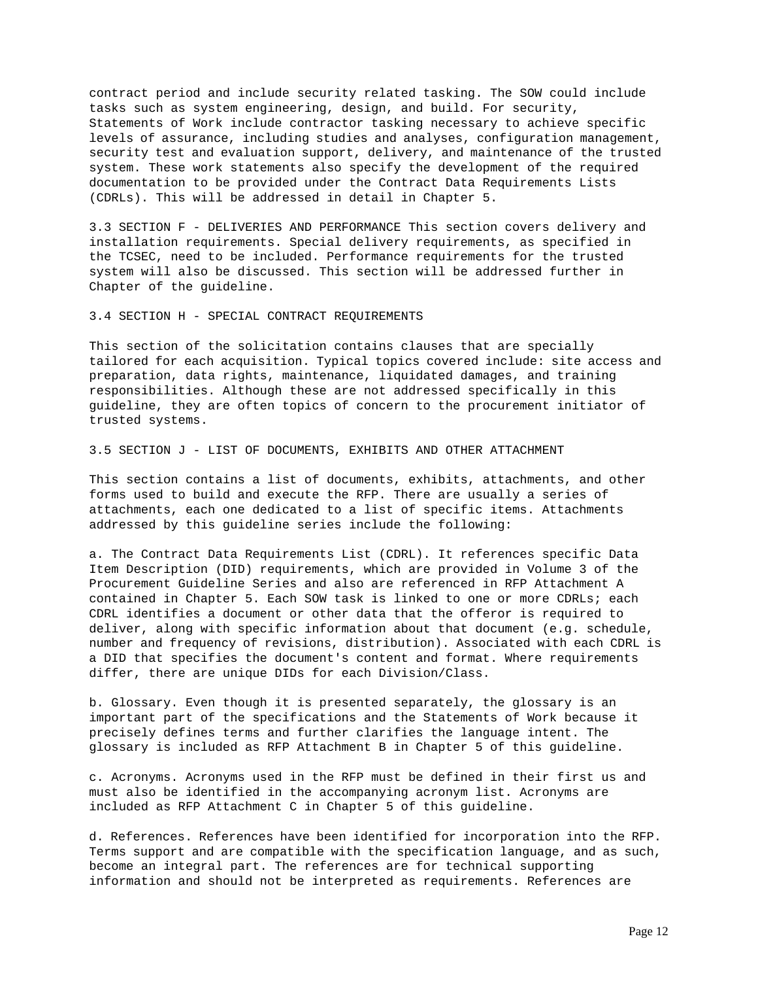contract period and include security related tasking. The SOW could include tasks such as system engineering, design, and build. For security, Statements of Work include contractor tasking necessary to achieve specific levels of assurance, including studies and analyses, configuration management, security test and evaluation support, delivery, and maintenance of the trusted system. These work statements also specify the development of the required documentation to be provided under the Contract Data Requirements Lists (CDRLs). This will be addressed in detail in Chapter 5.

3.3 SECTION F - DELIVERIES AND PERFORMANCE This section covers delivery and installation requirements. Special delivery requirements, as specified in the TCSEC, need to be included. Performance requirements for the trusted system will also be discussed. This section will be addressed further in Chapter of the guideline.

3.4 SECTION H - SPECIAL CONTRACT REQUIREMENTS

This section of the solicitation contains clauses that are specially tailored for each acquisition. Typical topics covered include: site access and preparation, data rights, maintenance, liquidated damages, and training responsibilities. Although these are not addressed specifically in this guideline, they are often topics of concern to the procurement initiator of trusted systems.

3.5 SECTION J - LIST OF DOCUMENTS, EXHIBITS AND OTHER ATTACHMENT

This section contains a list of documents, exhibits, attachments, and other forms used to build and execute the RFP. There are usually a series of attachments, each one dedicated to a list of specific items. Attachments addressed by this guideline series include the following:

a. The Contract Data Requirements List (CDRL). It references specific Data Item Description (DID) requirements, which are provided in Volume 3 of the Procurement Guideline Series and also are referenced in RFP Attachment A contained in Chapter 5. Each SOW task is linked to one or more CDRLs; each CDRL identifies a document or other data that the offeror is required to deliver, along with specific information about that document (e.g. schedule, number and frequency of revisions, distribution). Associated with each CDRL is a DID that specifies the document's content and format. Where requirements differ, there are unique DIDs for each Division/Class.

b. Glossary. Even though it is presented separately, the glossary is an important part of the specifications and the Statements of Work because it precisely defines terms and further clarifies the language intent. The glossary is included as RFP Attachment B in Chapter 5 of this guideline.

c. Acronyms. Acronyms used in the RFP must be defined in their first us and must also be identified in the accompanying acronym list. Acronyms are included as RFP Attachment C in Chapter 5 of this guideline.

d. References. References have been identified for incorporation into the RFP. Terms support and are compatible with the specification language, and as such, become an integral part. The references are for technical supporting information and should not be interpreted as requirements. References are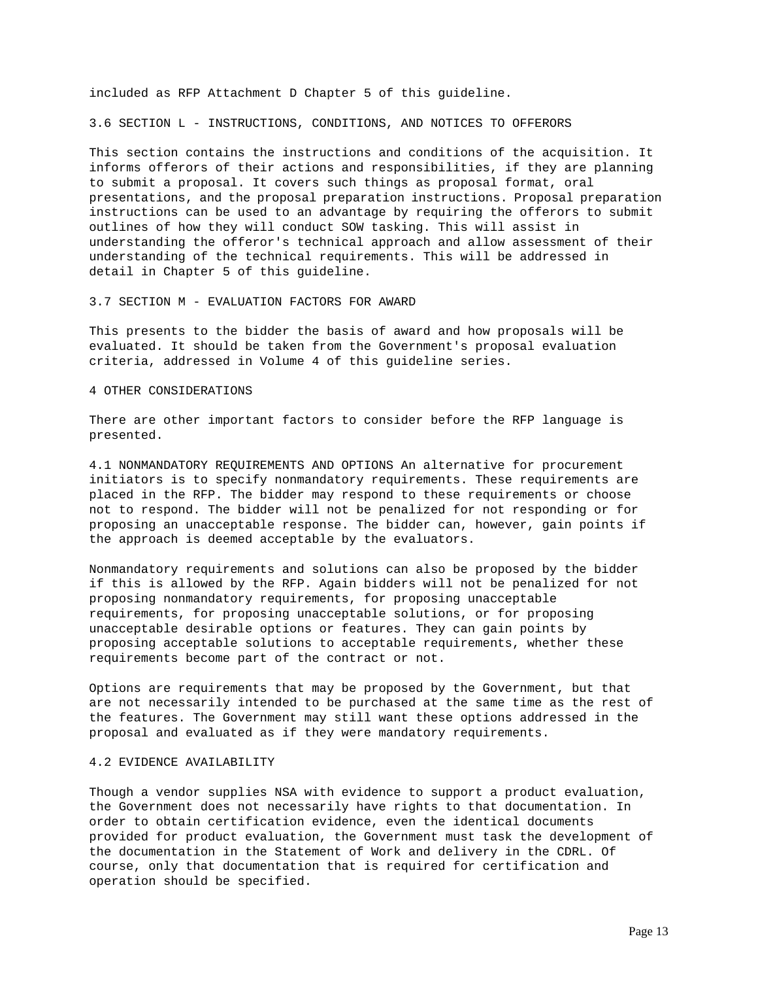included as RFP Attachment D Chapter 5 of this guideline.

3.6 SECTION L - INSTRUCTIONS, CONDITIONS, AND NOTICES TO OFFERORS

This section contains the instructions and conditions of the acquisition. It informs offerors of their actions and responsibilities, if they are planning to submit a proposal. It covers such things as proposal format, oral presentations, and the proposal preparation instructions. Proposal preparation instructions can be used to an advantage by requiring the offerors to submit outlines of how they will conduct SOW tasking. This will assist in understanding the offeror's technical approach and allow assessment of their understanding of the technical requirements. This will be addressed in detail in Chapter 5 of this guideline.

3.7 SECTION M - EVALUATION FACTORS FOR AWARD

This presents to the bidder the basis of award and how proposals will be evaluated. It should be taken from the Government's proposal evaluation criteria, addressed in Volume 4 of this guideline series.

# 4 OTHER CONSIDERATIONS

There are other important factors to consider before the RFP language is presented.

4.1 NONMANDATORY REQUIREMENTS AND OPTIONS An alternative for procurement initiators is to specify nonmandatory requirements. These requirements are placed in the RFP. The bidder may respond to these requirements or choose not to respond. The bidder will not be penalized for not responding or for proposing an unacceptable response. The bidder can, however, gain points if the approach is deemed acceptable by the evaluators.

Nonmandatory requirements and solutions can also be proposed by the bidder if this is allowed by the RFP. Again bidders will not be penalized for not proposing nonmandatory requirements, for proposing unacceptable requirements, for proposing unacceptable solutions, or for proposing unacceptable desirable options or features. They can gain points by proposing acceptable solutions to acceptable requirements, whether these requirements become part of the contract or not.

Options are requirements that may be proposed by the Government, but that are not necessarily intended to be purchased at the same time as the rest of the features. The Government may still want these options addressed in the proposal and evaluated as if they were mandatory requirements.

# 4.2 EVIDENCE AVAILABILITY

Though a vendor supplies NSA with evidence to support a product evaluation, the Government does not necessarily have rights to that documentation. In order to obtain certification evidence, even the identical documents provided for product evaluation, the Government must task the development of the documentation in the Statement of Work and delivery in the CDRL. Of course, only that documentation that is required for certification and operation should be specified.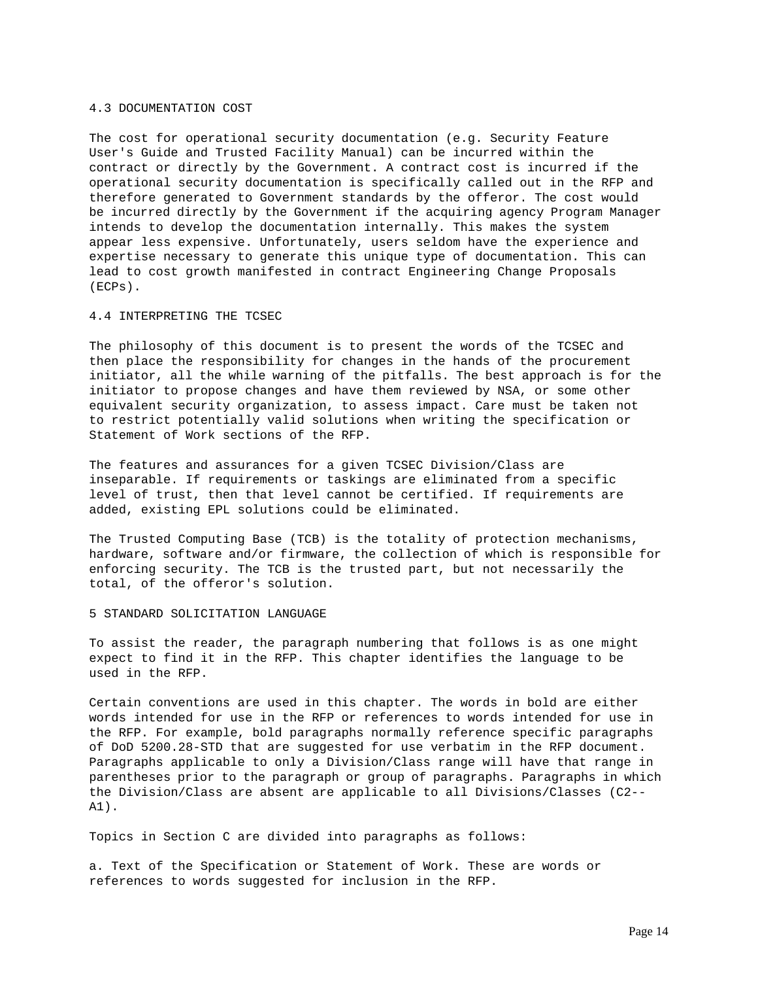## 4.3 DOCUMENTATION COST

The cost for operational security documentation (e.g. Security Feature User's Guide and Trusted Facility Manual) can be incurred within the contract or directly by the Government. A contract cost is incurred if the operational security documentation is specifically called out in the RFP and therefore generated to Government standards by the offeror. The cost would be incurred directly by the Government if the acquiring agency Program Manager intends to develop the documentation internally. This makes the system appear less expensive. Unfortunately, users seldom have the experience and expertise necessary to generate this unique type of documentation. This can lead to cost growth manifested in contract Engineering Change Proposals (ECPs).

#### 4.4 INTERPRETING THE TCSEC

The philosophy of this document is to present the words of the TCSEC and then place the responsibility for changes in the hands of the procurement initiator, all the while warning of the pitfalls. The best approach is for the initiator to propose changes and have them reviewed by NSA, or some other equivalent security organization, to assess impact. Care must be taken not to restrict potentially valid solutions when writing the specification or Statement of Work sections of the RFP.

The features and assurances for a given TCSEC Division/Class are inseparable. If requirements or taskings are eliminated from a specific level of trust, then that level cannot be certified. If requirements are added, existing EPL solutions could be eliminated.

The Trusted Computing Base (TCB) is the totality of protection mechanisms, hardware, software and/or firmware, the collection of which is responsible for enforcing security. The TCB is the trusted part, but not necessarily the total, of the offeror's solution.

## 5 STANDARD SOLICITATION LANGUAGE

To assist the reader, the paragraph numbering that follows is as one might expect to find it in the RFP. This chapter identifies the language to be used in the RFP.

Certain conventions are used in this chapter. The words in bold are either words intended for use in the RFP or references to words intended for use in the RFP. For example, bold paragraphs normally reference specific paragraphs of DoD 5200.28-STD that are suggested for use verbatim in the RFP document. Paragraphs applicable to only a Division/Class range will have that range in parentheses prior to the paragraph or group of paragraphs. Paragraphs in which the Division/Class are absent are applicable to all Divisions/Classes (C2-- A1).

Topics in Section C are divided into paragraphs as follows:

a. Text of the Specification or Statement of Work. These are words or references to words suggested for inclusion in the RFP.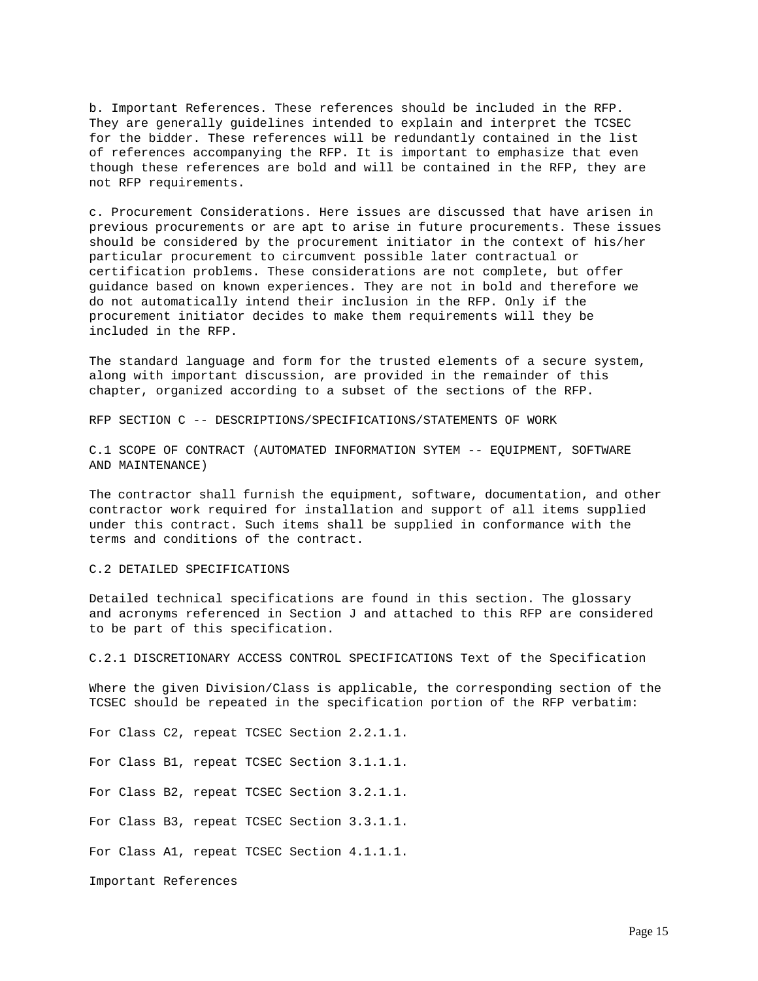b. Important References. These references should be included in the RFP. They are generally guidelines intended to explain and interpret the TCSEC for the bidder. These references will be redundantly contained in the list of references accompanying the RFP. It is important to emphasize that even though these references are bold and will be contained in the RFP, they are not RFP requirements.

c. Procurement Considerations. Here issues are discussed that have arisen in previous procurements or are apt to arise in future procurements. These issues should be considered by the procurement initiator in the context of his/her particular procurement to circumvent possible later contractual or certification problems. These considerations are not complete, but offer guidance based on known experiences. They are not in bold and therefore we do not automatically intend their inclusion in the RFP. Only if the procurement initiator decides to make them requirements will they be included in the RFP.

The standard language and form for the trusted elements of a secure system, along with important discussion, are provided in the remainder of this chapter, organized according to a subset of the sections of the RFP.

RFP SECTION C -- DESCRIPTIONS/SPECIFICATIONS/STATEMENTS OF WORK

C.1 SCOPE OF CONTRACT (AUTOMATED INFORMATION SYTEM -- EQUIPMENT, SOFTWARE AND MAINTENANCE)

The contractor shall furnish the equipment, software, documentation, and other contractor work required for installation and support of all items supplied under this contract. Such items shall be supplied in conformance with the terms and conditions of the contract.

# C.2 DETAILED SPECIFICATIONS

Detailed technical specifications are found in this section. The glossary and acronyms referenced in Section J and attached to this RFP are considered to be part of this specification.

C.2.1 DISCRETIONARY ACCESS CONTROL SPECIFICATIONS Text of the Specification

Where the given Division/Class is applicable, the corresponding section of the TCSEC should be repeated in the specification portion of the RFP verbatim:

For Class C2, repeat TCSEC Section 2.2.1.1.

For Class B1, repeat TCSEC Section 3.1.1.1.

For Class B2, repeat TCSEC Section 3.2.1.1.

For Class B3, repeat TCSEC Section 3.3.1.1.

For Class A1, repeat TCSEC Section 4.1.1.1.

Important References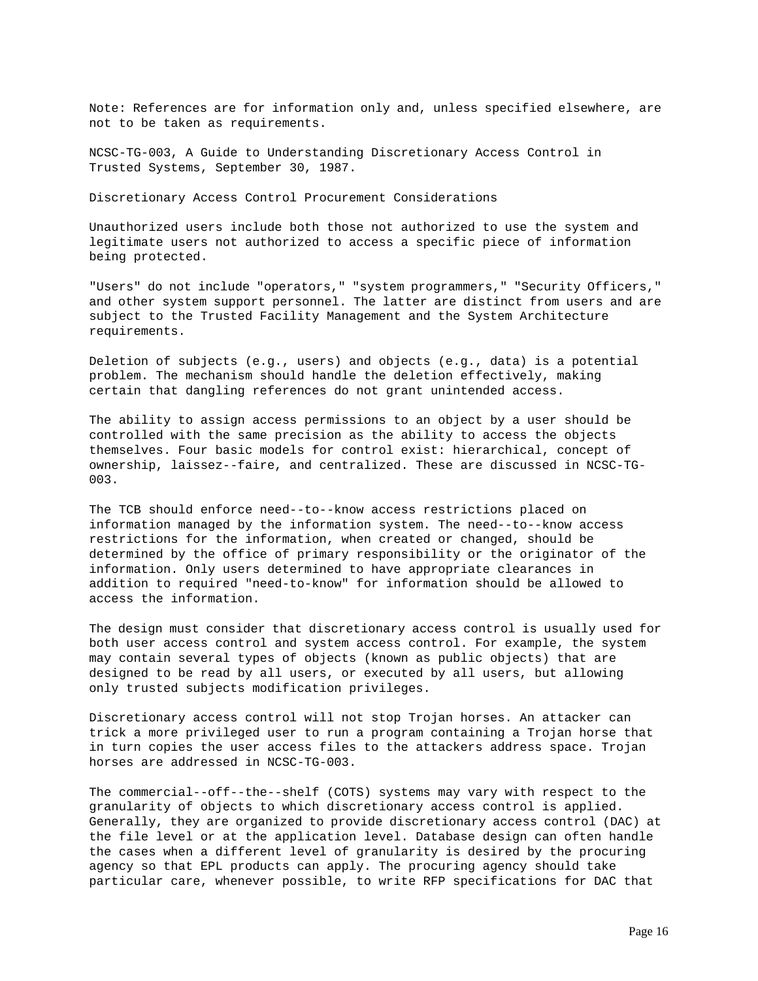Note: References are for information only and, unless specified elsewhere, are not to be taken as requirements.

NCSC-TG-003, A Guide to Understanding Discretionary Access Control in Trusted Systems, September 30, 1987.

Discretionary Access Control Procurement Considerations

Unauthorized users include both those not authorized to use the system and legitimate users not authorized to access a specific piece of information being protected.

"Users" do not include "operators," "system programmers," "Security Officers," and other system support personnel. The latter are distinct from users and are subject to the Trusted Facility Management and the System Architecture requirements.

Deletion of subjects (e.g., users) and objects (e.g., data) is a potential problem. The mechanism should handle the deletion effectively, making certain that dangling references do not grant unintended access.

The ability to assign access permissions to an object by a user should be controlled with the same precision as the ability to access the objects themselves. Four basic models for control exist: hierarchical, concept of ownership, laissez--faire, and centralized. These are discussed in NCSC-TG-003.

The TCB should enforce need--to--know access restrictions placed on information managed by the information system. The need--to--know access restrictions for the information, when created or changed, should be determined by the office of primary responsibility or the originator of the information. Only users determined to have appropriate clearances in addition to required "need-to-know" for information should be allowed to access the information.

The design must consider that discretionary access control is usually used for both user access control and system access control. For example, the system may contain several types of objects (known as public objects) that are designed to be read by all users, or executed by all users, but allowing only trusted subjects modification privileges.

Discretionary access control will not stop Trojan horses. An attacker can trick a more privileged user to run a program containing a Trojan horse that in turn copies the user access files to the attackers address space. Trojan horses are addressed in NCSC-TG-003.

The commercial--off--the--shelf (COTS) systems may vary with respect to the granularity of objects to which discretionary access control is applied. Generally, they are organized to provide discretionary access control (DAC) at the file level or at the application level. Database design can often handle the cases when a different level of granularity is desired by the procuring agency so that EPL products can apply. The procuring agency should take particular care, whenever possible, to write RFP specifications for DAC that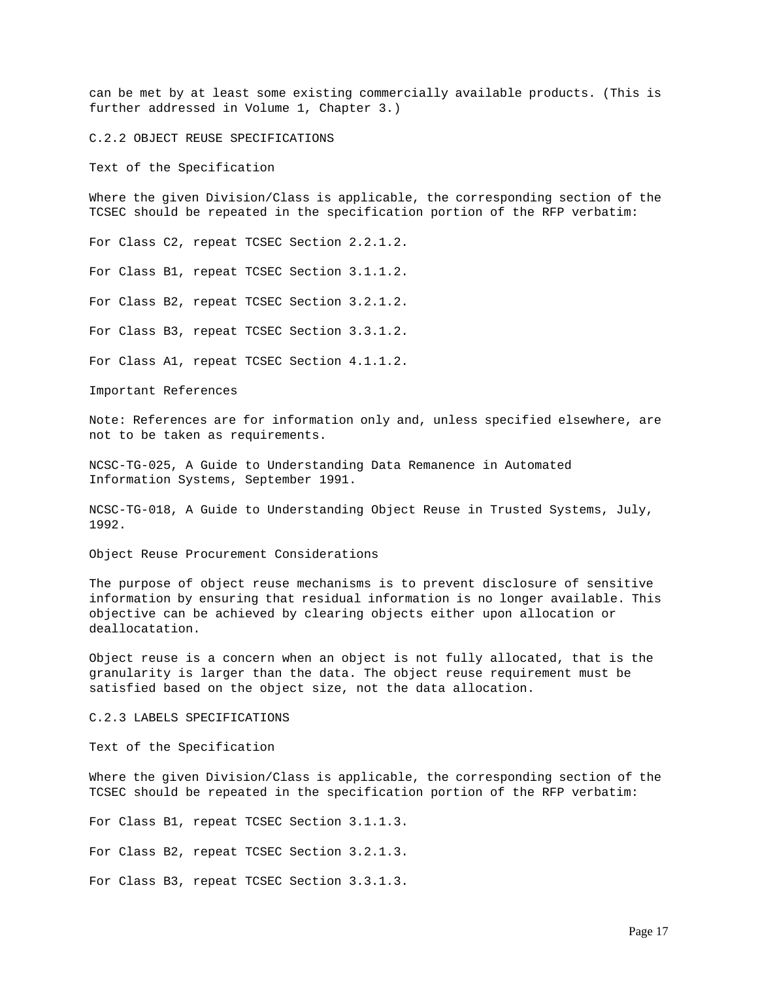can be met by at least some existing commercially available products. (This is further addressed in Volume 1, Chapter 3.)

C.2.2 OBJECT REUSE SPECIFICATIONS

Text of the Specification

Where the given Division/Class is applicable, the corresponding section of the TCSEC should be repeated in the specification portion of the RFP verbatim:

For Class C2, repeat TCSEC Section 2.2.1.2.

For Class B1, repeat TCSEC Section 3.1.1.2.

For Class B2, repeat TCSEC Section 3.2.1.2.

For Class B3, repeat TCSEC Section 3.3.1.2.

For Class A1, repeat TCSEC Section 4.1.1.2.

Important References

Note: References are for information only and, unless specified elsewhere, are not to be taken as requirements.

NCSC-TG-025, A Guide to Understanding Data Remanence in Automated Information Systems, September 1991.

NCSC-TG-018, A Guide to Understanding Object Reuse in Trusted Systems, July, 1992.

Object Reuse Procurement Considerations

The purpose of object reuse mechanisms is to prevent disclosure of sensitive information by ensuring that residual information is no longer available. This objective can be achieved by clearing objects either upon allocation or deallocatation.

Object reuse is a concern when an object is not fully allocated, that is the granularity is larger than the data. The object reuse requirement must be satisfied based on the object size, not the data allocation.

C.2.3 LABELS SPECIFICATIONS

Text of the Specification

Where the given Division/Class is applicable, the corresponding section of the TCSEC should be repeated in the specification portion of the RFP verbatim:

For Class B1, repeat TCSEC Section 3.1.1.3.

For Class B2, repeat TCSEC Section 3.2.1.3.

For Class B3, repeat TCSEC Section 3.3.1.3.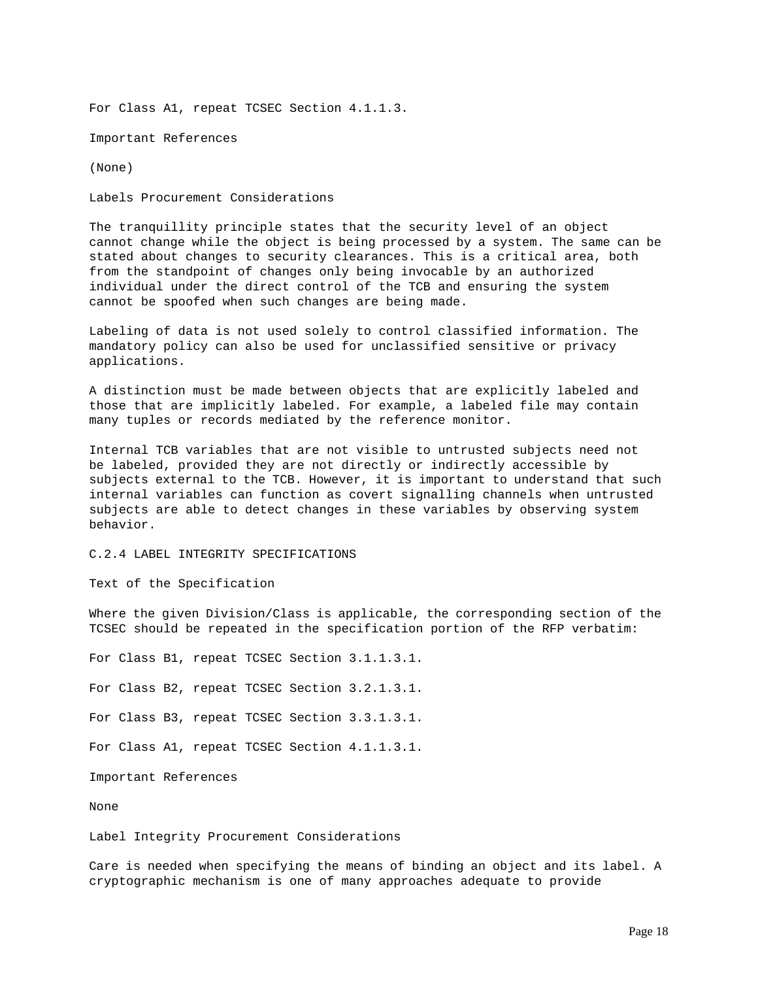For Class A1, repeat TCSEC Section 4.1.1.3.

Important References

(None)

Labels Procurement Considerations

The tranquillity principle states that the security level of an object cannot change while the object is being processed by a system. The same can be stated about changes to security clearances. This is a critical area, both from the standpoint of changes only being invocable by an authorized individual under the direct control of the TCB and ensuring the system cannot be spoofed when such changes are being made.

Labeling of data is not used solely to control classified information. The mandatory policy can also be used for unclassified sensitive or privacy applications.

A distinction must be made between objects that are explicitly labeled and those that are implicitly labeled. For example, a labeled file may contain many tuples or records mediated by the reference monitor.

Internal TCB variables that are not visible to untrusted subjects need not be labeled, provided they are not directly or indirectly accessible by subjects external to the TCB. However, it is important to understand that such internal variables can function as covert signalling channels when untrusted subjects are able to detect changes in these variables by observing system behavior.

C.2.4 LABEL INTEGRITY SPECIFICATIONS

Text of the Specification

Where the given Division/Class is applicable, the corresponding section of the TCSEC should be repeated in the specification portion of the RFP verbatim:

For Class B1, repeat TCSEC Section 3.1.1.3.1. For Class B2, repeat TCSEC Section 3.2.1.3.1. For Class B3, repeat TCSEC Section 3.3.1.3.1. For Class A1, repeat TCSEC Section 4.1.1.3.1. Important References

None

Label Integrity Procurement Considerations

Care is needed when specifying the means of binding an object and its label. A cryptographic mechanism is one of many approaches adequate to provide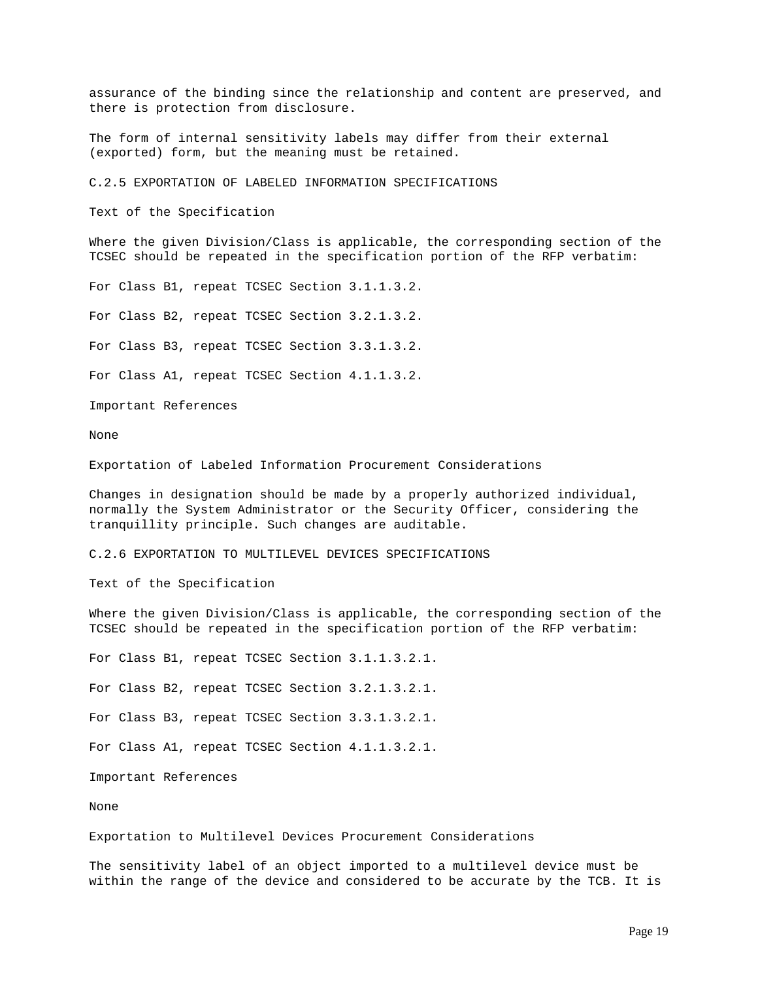assurance of the binding since the relationship and content are preserved, and there is protection from disclosure.

The form of internal sensitivity labels may differ from their external (exported) form, but the meaning must be retained.

C.2.5 EXPORTATION OF LABELED INFORMATION SPECIFICATIONS

Text of the Specification

Where the given Division/Class is applicable, the corresponding section of the TCSEC should be repeated in the specification portion of the RFP verbatim:

For Class B1, repeat TCSEC Section 3.1.1.3.2.

For Class B2, repeat TCSEC Section 3.2.1.3.2.

For Class B3, repeat TCSEC Section 3.3.1.3.2.

For Class A1, repeat TCSEC Section 4.1.1.3.2.

Important References

None

Exportation of Labeled Information Procurement Considerations

Changes in designation should be made by a properly authorized individual, normally the System Administrator or the Security Officer, considering the tranquillity principle. Such changes are auditable.

C.2.6 EXPORTATION TO MULTILEVEL DEVICES SPECIFICATIONS

Text of the Specification

Where the given Division/Class is applicable, the corresponding section of the TCSEC should be repeated in the specification portion of the RFP verbatim:

For Class B1, repeat TCSEC Section 3.1.1.3.2.1.

For Class B2, repeat TCSEC Section 3.2.1.3.2.1.

For Class B3, repeat TCSEC Section 3.3.1.3.2.1.

For Class A1, repeat TCSEC Section 4.1.1.3.2.1.

Important References

None

Exportation to Multilevel Devices Procurement Considerations

The sensitivity label of an object imported to a multilevel device must be within the range of the device and considered to be accurate by the TCB. It is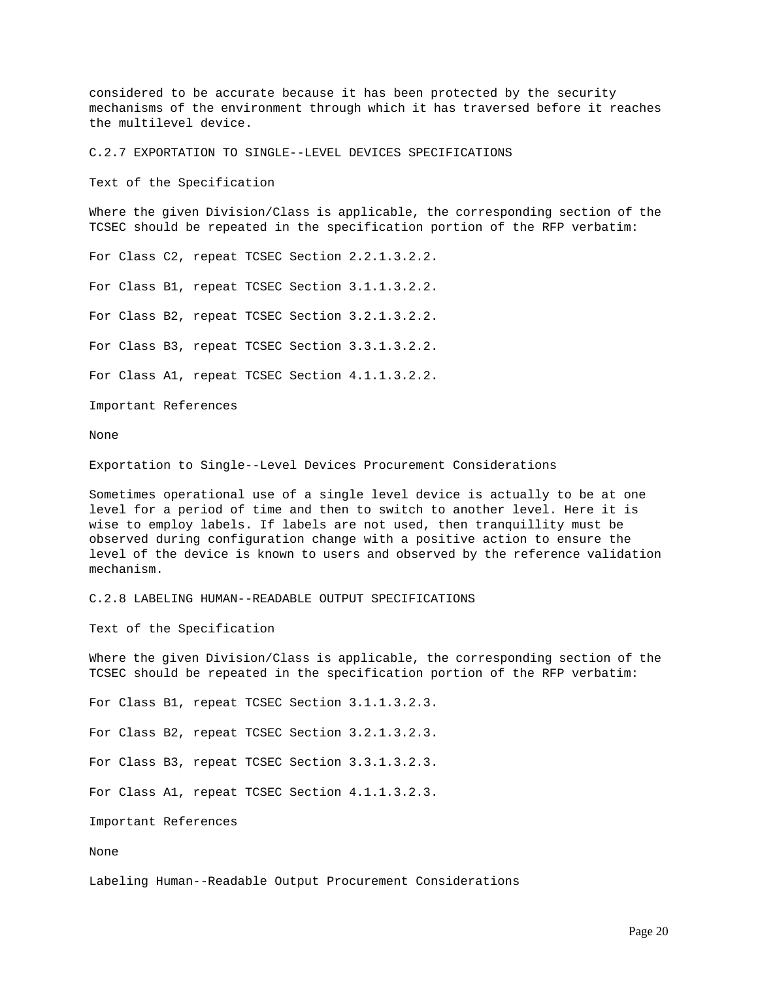considered to be accurate because it has been protected by the security mechanisms of the environment through which it has traversed before it reaches the multilevel device.

C.2.7 EXPORTATION TO SINGLE--LEVEL DEVICES SPECIFICATIONS

Text of the Specification

Where the given Division/Class is applicable, the corresponding section of the TCSEC should be repeated in the specification portion of the RFP verbatim:

For Class C2, repeat TCSEC Section 2.2.1.3.2.2.

For Class B1, repeat TCSEC Section 3.1.1.3.2.2.

For Class B2, repeat TCSEC Section 3.2.1.3.2.2.

For Class B3, repeat TCSEC Section 3.3.1.3.2.2.

For Class A1, repeat TCSEC Section 4.1.1.3.2.2.

Important References

None

Exportation to Single--Level Devices Procurement Considerations

Sometimes operational use of a single level device is actually to be at one level for a period of time and then to switch to another level. Here it is wise to employ labels. If labels are not used, then tranquillity must be observed during configuration change with a positive action to ensure the level of the device is known to users and observed by the reference validation mechanism.

C.2.8 LABELING HUMAN--READABLE OUTPUT SPECIFICATIONS

Text of the Specification

Where the given Division/Class is applicable, the corresponding section of the TCSEC should be repeated in the specification portion of the RFP verbatim:

For Class B1, repeat TCSEC Section 3.1.1.3.2.3.

For Class B2, repeat TCSEC Section 3.2.1.3.2.3.

For Class B3, repeat TCSEC Section 3.3.1.3.2.3.

For Class A1, repeat TCSEC Section 4.1.1.3.2.3.

Important References

None

Labeling Human--Readable Output Procurement Considerations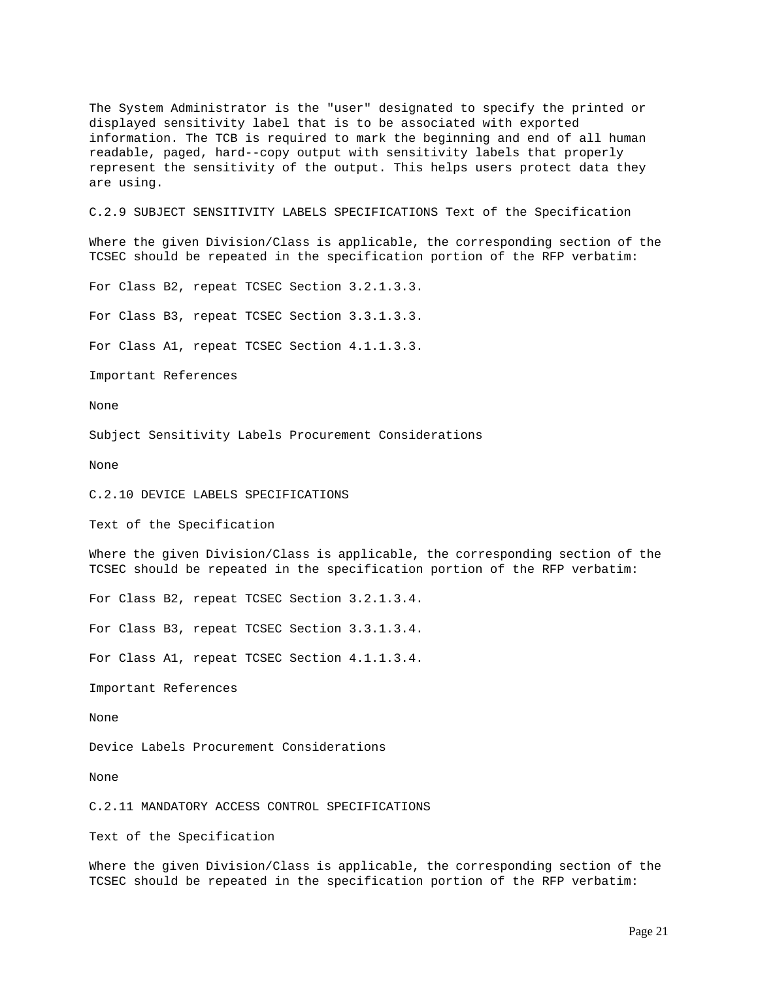The System Administrator is the "user" designated to specify the printed or displayed sensitivity label that is to be associated with exported information. The TCB is required to mark the beginning and end of all human readable, paged, hard--copy output with sensitivity labels that properly represent the sensitivity of the output. This helps users protect data they are using.

C.2.9 SUBJECT SENSITIVITY LABELS SPECIFICATIONS Text of the Specification

Where the given Division/Class is applicable, the corresponding section of the TCSEC should be repeated in the specification portion of the RFP verbatim:

For Class B2, repeat TCSEC Section 3.2.1.3.3.

For Class B3, repeat TCSEC Section 3.3.1.3.3.

For Class A1, repeat TCSEC Section 4.1.1.3.3.

Important References

None

Subject Sensitivity Labels Procurement Considerations

None

C.2.10 DEVICE LABELS SPECIFICATIONS

Text of the Specification

Where the given Division/Class is applicable, the corresponding section of the TCSEC should be repeated in the specification portion of the RFP verbatim:

For Class B2, repeat TCSEC Section 3.2.1.3.4.

For Class B3, repeat TCSEC Section 3.3.1.3.4.

For Class A1, repeat TCSEC Section 4.1.1.3.4.

Important References

None

Device Labels Procurement Considerations

None

C.2.11 MANDATORY ACCESS CONTROL SPECIFICATIONS

Text of the Specification

Where the given Division/Class is applicable, the corresponding section of the TCSEC should be repeated in the specification portion of the RFP verbatim: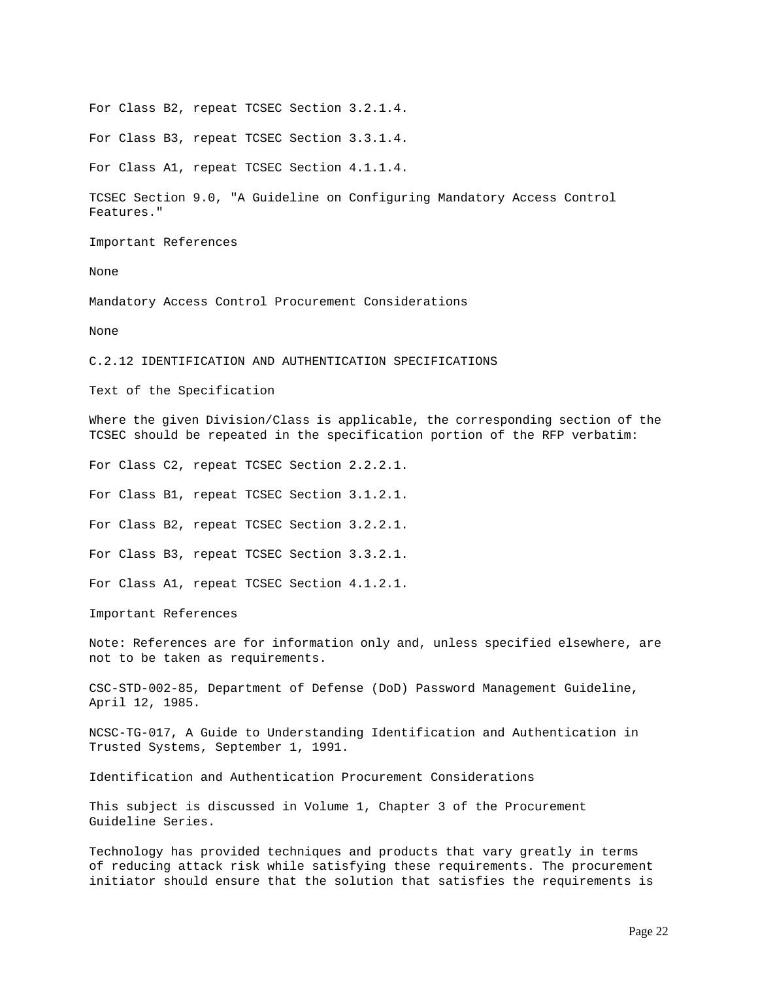For Class B2, repeat TCSEC Section 3.2.1.4.

For Class B3, repeat TCSEC Section 3.3.1.4.

For Class A1, repeat TCSEC Section 4.1.1.4.

TCSEC Section 9.0, "A Guideline on Configuring Mandatory Access Control Features."

Important References

None

Mandatory Access Control Procurement Considerations

None

C.2.12 IDENTIFICATION AND AUTHENTICATION SPECIFICATIONS

Text of the Specification

Where the given Division/Class is applicable, the corresponding section of the TCSEC should be repeated in the specification portion of the RFP verbatim:

For Class C2, repeat TCSEC Section 2.2.2.1.

For Class B1, repeat TCSEC Section 3.1.2.1.

For Class B2, repeat TCSEC Section 3.2.2.1.

For Class B3, repeat TCSEC Section 3.3.2.1.

For Class A1, repeat TCSEC Section 4.1.2.1.

Important References

Note: References are for information only and, unless specified elsewhere, are not to be taken as requirements.

CSC-STD-002-85, Department of Defense (DoD) Password Management Guideline, April 12, 1985.

NCSC-TG-017, A Guide to Understanding Identification and Authentication in Trusted Systems, September 1, 1991.

Identification and Authentication Procurement Considerations

This subject is discussed in Volume 1, Chapter 3 of the Procurement Guideline Series.

Technology has provided techniques and products that vary greatly in terms of reducing attack risk while satisfying these requirements. The procurement initiator should ensure that the solution that satisfies the requirements is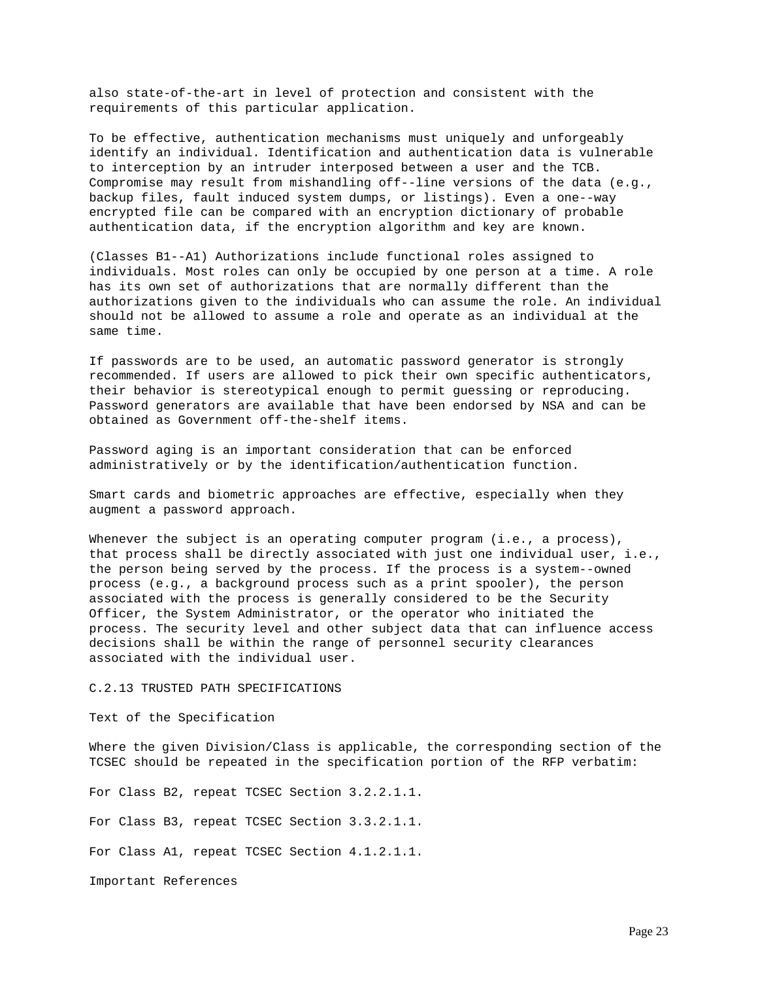also state-of-the-art in level of protection and consistent with the requirements of this particular application.

To be effective, authentication mechanisms must uniquely and unforgeably identify an individual. Identification and authentication data is vulnerable to interception by an intruder interposed between a user and the TCB. Compromise may result from mishandling off--line versions of the data (e.g., backup files, fault induced system dumps, or listings). Even a one--way encrypted file can be compared with an encryption dictionary of probable authentication data, if the encryption algorithm and key are known.

(Classes B1--A1) Authorizations include functional roles assigned to individuals. Most roles can only be occupied by one person at a time. A role has its own set of authorizations that are normally different than the authorizations given to the individuals who can assume the role. An individual should not be allowed to assume a role and operate as an individual at the same time.

If passwords are to be used, an automatic password generator is strongly recommended. If users are allowed to pick their own specific authenticators, their behavior is stereotypical enough to permit guessing or reproducing. Password generators are available that have been endorsed by NSA and can be obtained as Government off-the-shelf items.

Password aging is an important consideration that can be enforced administratively or by the identification/authentication function.

Smart cards and biometric approaches are effective, especially when they augment a password approach.

Whenever the subject is an operating computer program  $(i.e., a process)$ , that process shall be directly associated with just one individual user, i.e., the person being served by the process. If the process is a system--owned process (e.g., a background process such as a print spooler), the person associated with the process is generally considered to be the Security Officer, the System Administrator, or the operator who initiated the process. The security level and other subject data that can influence access decisions shall be within the range of personnel security clearances associated with the individual user.

# C.2.13 TRUSTED PATH SPECIFICATIONS

Text of the Specification

Where the given Division/Class is applicable, the corresponding section of the TCSEC should be repeated in the specification portion of the RFP verbatim:

For Class B2, repeat TCSEC Section 3.2.2.1.1.

For Class B3, repeat TCSEC Section 3.3.2.1.1.

For Class A1, repeat TCSEC Section 4.1.2.1.1.

Important References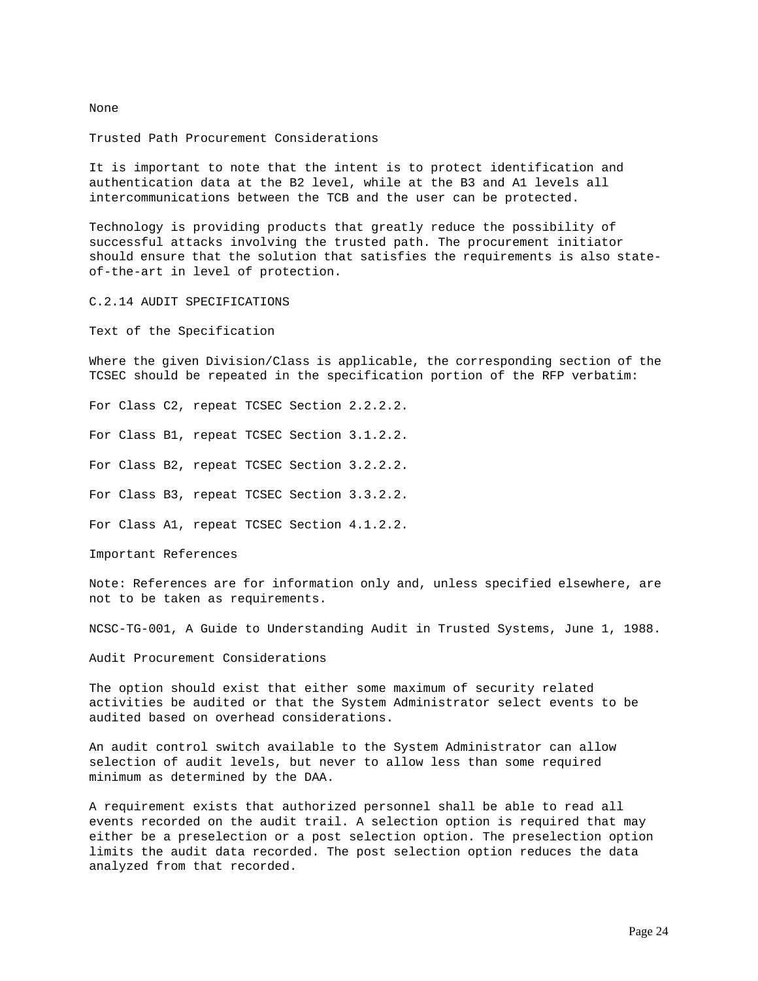None

Trusted Path Procurement Considerations

It is important to note that the intent is to protect identification and authentication data at the B2 level, while at the B3 and A1 levels all intercommunications between the TCB and the user can be protected.

Technology is providing products that greatly reduce the possibility of successful attacks involving the trusted path. The procurement initiator should ensure that the solution that satisfies the requirements is also stateof-the-art in level of protection.

C.2.14 AUDIT SPECIFICATIONS

Text of the Specification

Where the given Division/Class is applicable, the corresponding section of the TCSEC should be repeated in the specification portion of the RFP verbatim:

For Class C2, repeat TCSEC Section 2.2.2.2.

For Class B1, repeat TCSEC Section 3.1.2.2.

For Class B2, repeat TCSEC Section 3.2.2.2.

For Class B3, repeat TCSEC Section 3.3.2.2.

For Class A1, repeat TCSEC Section 4.1.2.2.

Important References

Note: References are for information only and, unless specified elsewhere, are not to be taken as requirements.

NCSC-TG-001, A Guide to Understanding Audit in Trusted Systems, June 1, 1988.

Audit Procurement Considerations

The option should exist that either some maximum of security related activities be audited or that the System Administrator select events to be audited based on overhead considerations.

An audit control switch available to the System Administrator can allow selection of audit levels, but never to allow less than some required minimum as determined by the DAA.

A requirement exists that authorized personnel shall be able to read all events recorded on the audit trail. A selection option is required that may either be a preselection or a post selection option. The preselection option limits the audit data recorded. The post selection option reduces the data analyzed from that recorded.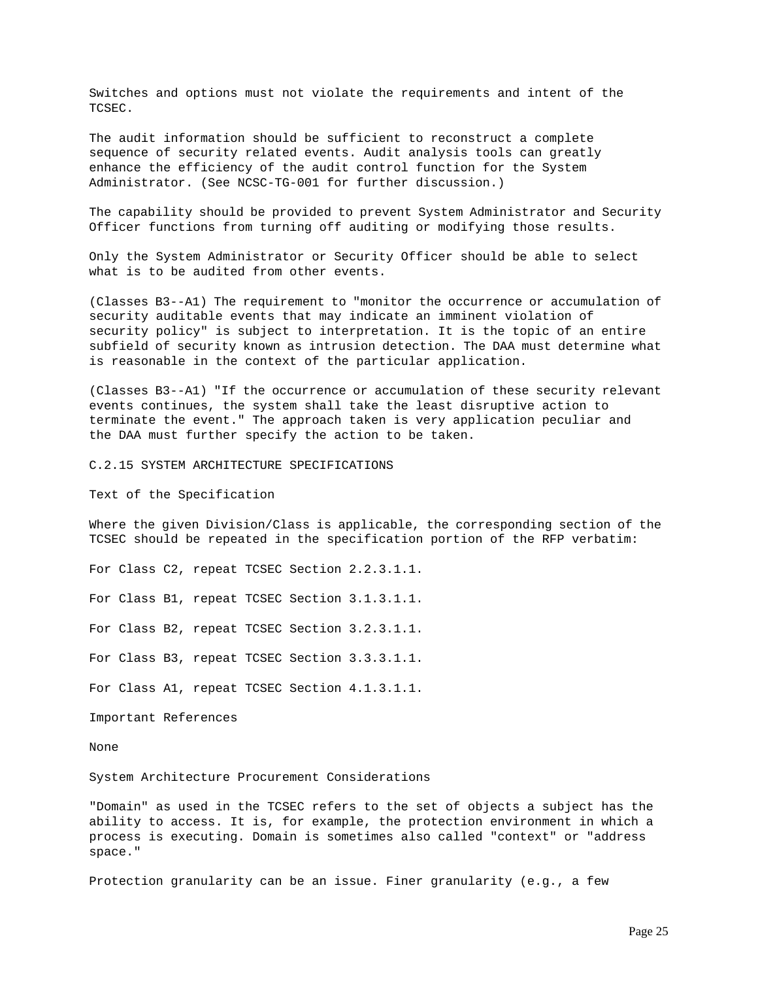Switches and options must not violate the requirements and intent of the TCSEC.

The audit information should be sufficient to reconstruct a complete sequence of security related events. Audit analysis tools can greatly enhance the efficiency of the audit control function for the System Administrator. (See NCSC-TG-001 for further discussion.)

The capability should be provided to prevent System Administrator and Security Officer functions from turning off auditing or modifying those results.

Only the System Administrator or Security Officer should be able to select what is to be audited from other events.

(Classes B3--A1) The requirement to "monitor the occurrence or accumulation of security auditable events that may indicate an imminent violation of security policy" is subject to interpretation. It is the topic of an entire subfield of security known as intrusion detection. The DAA must determine what is reasonable in the context of the particular application.

(Classes B3--A1) "If the occurrence or accumulation of these security relevant events continues, the system shall take the least disruptive action to terminate the event." The approach taken is very application peculiar and the DAA must further specify the action to be taken.

C.2.15 SYSTEM ARCHITECTURE SPECIFICATIONS

Text of the Specification

Where the given Division/Class is applicable, the corresponding section of the TCSEC should be repeated in the specification portion of the RFP verbatim:

For Class C2, repeat TCSEC Section 2.2.3.1.1.

For Class B1, repeat TCSEC Section 3.1.3.1.1.

For Class B2, repeat TCSEC Section 3.2.3.1.1.

For Class B3, repeat TCSEC Section 3.3.3.1.1.

For Class A1, repeat TCSEC Section 4.1.3.1.1.

Important References

None

System Architecture Procurement Considerations

"Domain" as used in the TCSEC refers to the set of objects a subject has the ability to access. It is, for example, the protection environment in which a process is executing. Domain is sometimes also called "context" or "address space."

Protection granularity can be an issue. Finer granularity (e.g., a few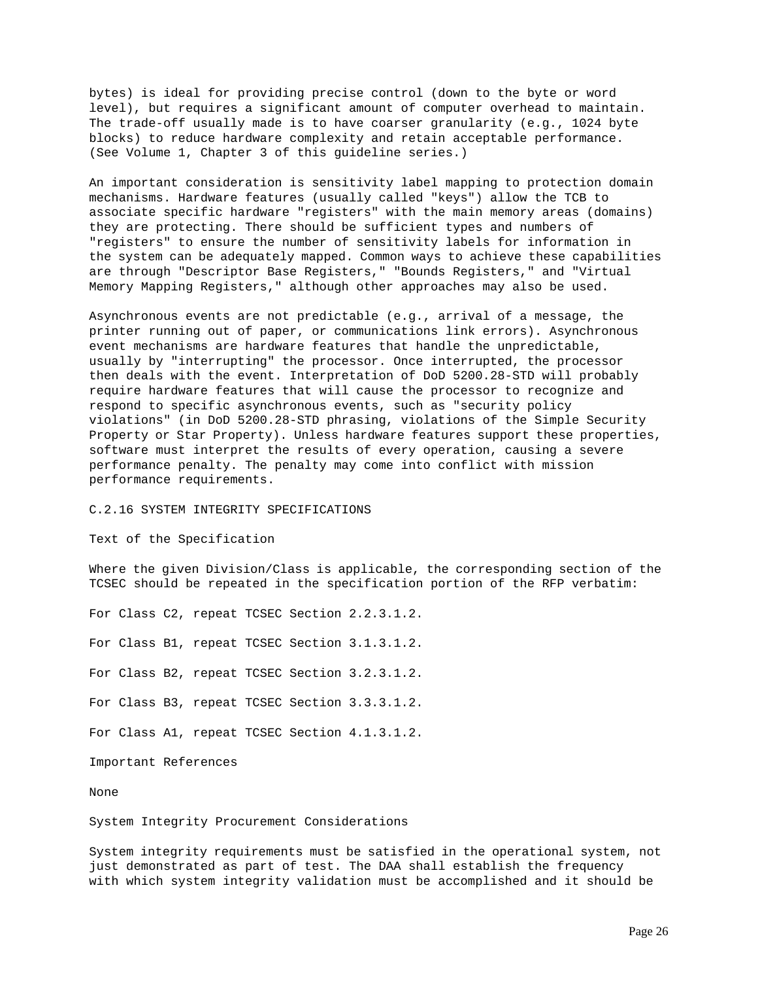bytes) is ideal for providing precise control (down to the byte or word level), but requires a significant amount of computer overhead to maintain. The trade-off usually made is to have coarser granularity (e.g., 1024 byte blocks) to reduce hardware complexity and retain acceptable performance. (See Volume 1, Chapter 3 of this guideline series.)

An important consideration is sensitivity label mapping to protection domain mechanisms. Hardware features (usually called "keys") allow the TCB to associate specific hardware "registers" with the main memory areas (domains) they are protecting. There should be sufficient types and numbers of "registers" to ensure the number of sensitivity labels for information in the system can be adequately mapped. Common ways to achieve these capabilities are through "Descriptor Base Registers," "Bounds Registers," and "Virtual Memory Mapping Registers," although other approaches may also be used.

Asynchronous events are not predictable (e.g., arrival of a message, the printer running out of paper, or communications link errors). Asynchronous event mechanisms are hardware features that handle the unpredictable, usually by "interrupting" the processor. Once interrupted, the processor then deals with the event. Interpretation of DoD 5200.28-STD will probably require hardware features that will cause the processor to recognize and respond to specific asynchronous events, such as "security policy violations" (in DoD 5200.28-STD phrasing, violations of the Simple Security Property or Star Property). Unless hardware features support these properties, software must interpret the results of every operation, causing a severe performance penalty. The penalty may come into conflict with mission performance requirements.

### C.2.16 SYSTEM INTEGRITY SPECIFICATIONS

Text of the Specification

Where the given Division/Class is applicable, the corresponding section of the TCSEC should be repeated in the specification portion of the RFP verbatim:

For Class C2, repeat TCSEC Section 2.2.3.1.2.

For Class B1, repeat TCSEC Section 3.1.3.1.2.

For Class B2, repeat TCSEC Section 3.2.3.1.2.

For Class B3, repeat TCSEC Section 3.3.3.1.2.

For Class A1, repeat TCSEC Section 4.1.3.1.2.

Important References

None

System Integrity Procurement Considerations

System integrity requirements must be satisfied in the operational system, not just demonstrated as part of test. The DAA shall establish the frequency with which system integrity validation must be accomplished and it should be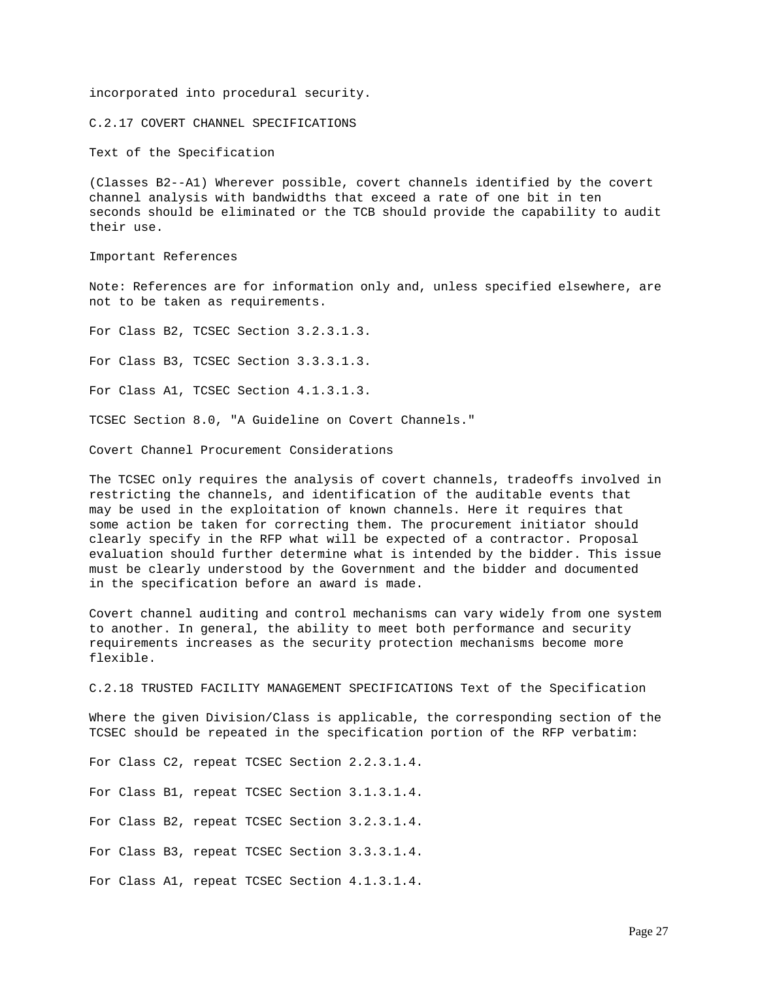incorporated into procedural security.

C.2.17 COVERT CHANNEL SPECIFICATIONS

Text of the Specification

(Classes B2--A1) Wherever possible, covert channels identified by the covert channel analysis with bandwidths that exceed a rate of one bit in ten seconds should be eliminated or the TCB should provide the capability to audit their use.

Important References

Note: References are for information only and, unless specified elsewhere, are not to be taken as requirements.

For Class B2, TCSEC Section 3.2.3.1.3.

For Class B3, TCSEC Section 3.3.3.1.3.

For Class A1, TCSEC Section 4.1.3.1.3.

TCSEC Section 8.0, "A Guideline on Covert Channels."

Covert Channel Procurement Considerations

The TCSEC only requires the analysis of covert channels, tradeoffs involved in restricting the channels, and identification of the auditable events that may be used in the exploitation of known channels. Here it requires that some action be taken for correcting them. The procurement initiator should clearly specify in the RFP what will be expected of a contractor. Proposal evaluation should further determine what is intended by the bidder. This issue must be clearly understood by the Government and the bidder and documented in the specification before an award is made.

Covert channel auditing and control mechanisms can vary widely from one system to another. In general, the ability to meet both performance and security requirements increases as the security protection mechanisms become more flexible.

C.2.18 TRUSTED FACILITY MANAGEMENT SPECIFICATIONS Text of the Specification

Where the given Division/Class is applicable, the corresponding section of the TCSEC should be repeated in the specification portion of the RFP verbatim:

For Class C2, repeat TCSEC Section 2.2.3.1.4.

For Class B1, repeat TCSEC Section 3.1.3.1.4.

For Class B2, repeat TCSEC Section 3.2.3.1.4.

For Class B3, repeat TCSEC Section 3.3.3.1.4.

For Class A1, repeat TCSEC Section 4.1.3.1.4.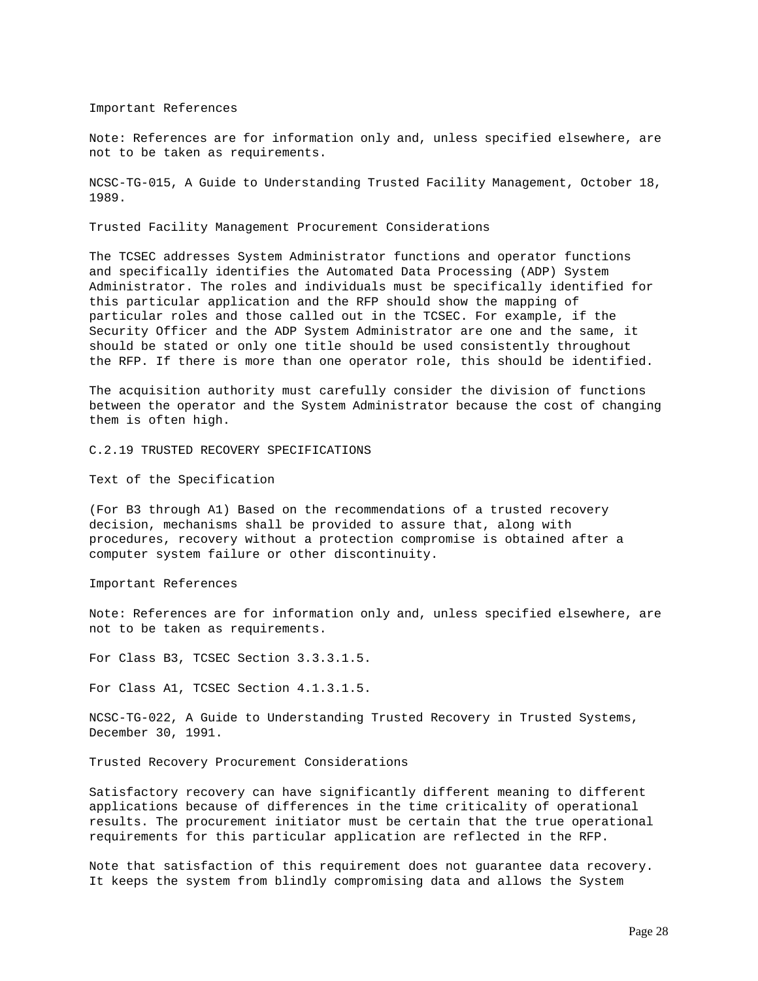Important References

Note: References are for information only and, unless specified elsewhere, are not to be taken as requirements.

NCSC-TG-015, A Guide to Understanding Trusted Facility Management, October 18, 1989.

Trusted Facility Management Procurement Considerations

The TCSEC addresses System Administrator functions and operator functions and specifically identifies the Automated Data Processing (ADP) System Administrator. The roles and individuals must be specifically identified for this particular application and the RFP should show the mapping of particular roles and those called out in the TCSEC. For example, if the Security Officer and the ADP System Administrator are one and the same, it should be stated or only one title should be used consistently throughout the RFP. If there is more than one operator role, this should be identified.

The acquisition authority must carefully consider the division of functions between the operator and the System Administrator because the cost of changing them is often high.

C.2.19 TRUSTED RECOVERY SPECIFICATIONS

Text of the Specification

(For B3 through A1) Based on the recommendations of a trusted recovery decision, mechanisms shall be provided to assure that, along with procedures, recovery without a protection compromise is obtained after a computer system failure or other discontinuity.

Important References

Note: References are for information only and, unless specified elsewhere, are not to be taken as requirements.

For Class B3, TCSEC Section 3.3.3.1.5.

For Class A1, TCSEC Section 4.1.3.1.5.

NCSC-TG-022, A Guide to Understanding Trusted Recovery in Trusted Systems, December 30, 1991.

Trusted Recovery Procurement Considerations

Satisfactory recovery can have significantly different meaning to different applications because of differences in the time criticality of operational results. The procurement initiator must be certain that the true operational requirements for this particular application are reflected in the RFP.

Note that satisfaction of this requirement does not guarantee data recovery. It keeps the system from blindly compromising data and allows the System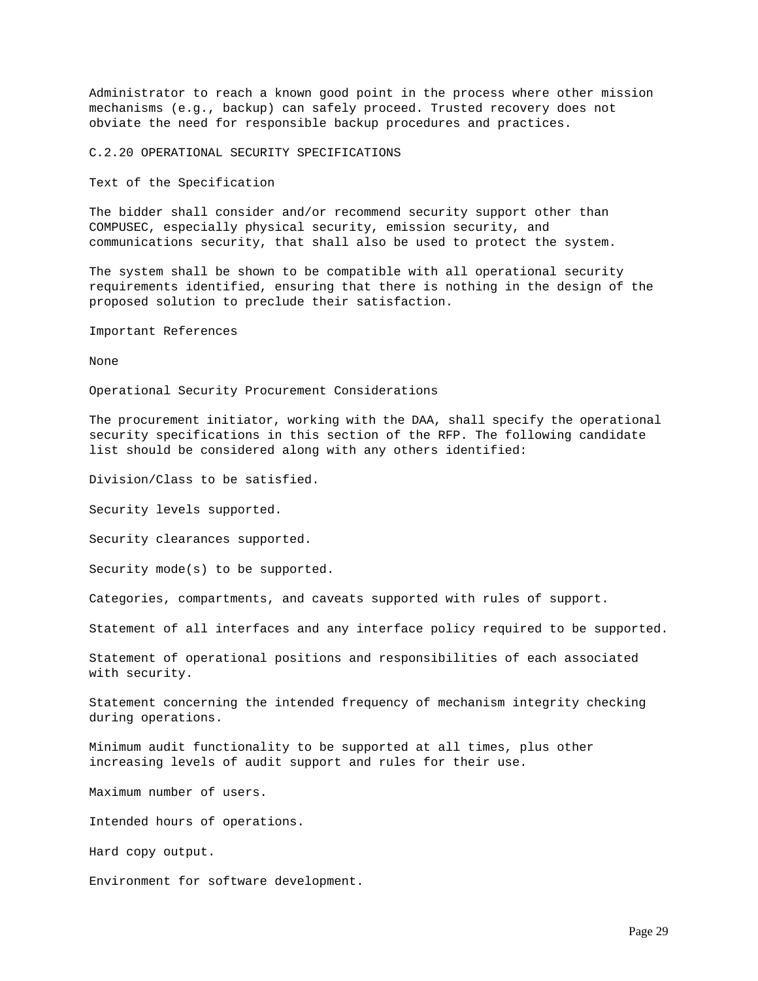Administrator to reach a known good point in the process where other mission mechanisms (e.g., backup) can safely proceed. Trusted recovery does not obviate the need for responsible backup procedures and practices.

C.2.20 OPERATIONAL SECURITY SPECIFICATIONS

Text of the Specification

The bidder shall consider and/or recommend security support other than COMPUSEC, especially physical security, emission security, and communications security, that shall also be used to protect the system.

The system shall be shown to be compatible with all operational security requirements identified, ensuring that there is nothing in the design of the proposed solution to preclude their satisfaction.

Important References

None

Operational Security Procurement Considerations

The procurement initiator, working with the DAA, shall specify the operational security specifications in this section of the RFP. The following candidate list should be considered along with any others identified:

Division/Class to be satisfied.

Security levels supported.

Security clearances supported.

Security mode(s) to be supported.

Categories, compartments, and caveats supported with rules of support.

Statement of all interfaces and any interface policy required to be supported.

Statement of operational positions and responsibilities of each associated with security.

Statement concerning the intended frequency of mechanism integrity checking during operations.

Minimum audit functionality to be supported at all times, plus other increasing levels of audit support and rules for their use.

Maximum number of users.

Intended hours of operations.

Hard copy output.

Environment for software development.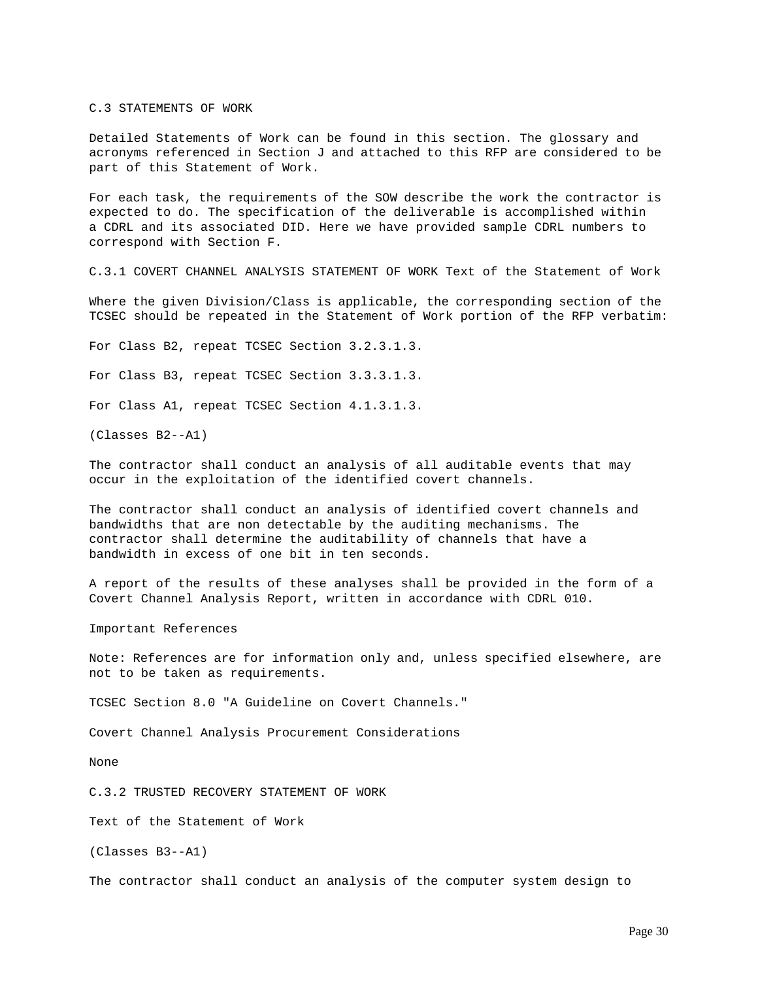C.3 STATEMENTS OF WORK

Detailed Statements of Work can be found in this section. The glossary and acronyms referenced in Section J and attached to this RFP are considered to be part of this Statement of Work.

For each task, the requirements of the SOW describe the work the contractor is expected to do. The specification of the deliverable is accomplished within a CDRL and its associated DID. Here we have provided sample CDRL numbers to correspond with Section F.

C.3.1 COVERT CHANNEL ANALYSIS STATEMENT OF WORK Text of the Statement of Work

Where the given Division/Class is applicable, the corresponding section of the TCSEC should be repeated in the Statement of Work portion of the RFP verbatim:

For Class B2, repeat TCSEC Section 3.2.3.1.3.

For Class B3, repeat TCSEC Section 3.3.3.1.3.

For Class A1, repeat TCSEC Section 4.1.3.1.3.

(Classes B2--A1)

The contractor shall conduct an analysis of all auditable events that may occur in the exploitation of the identified covert channels.

The contractor shall conduct an analysis of identified covert channels and bandwidths that are non detectable by the auditing mechanisms. The contractor shall determine the auditability of channels that have a bandwidth in excess of one bit in ten seconds.

A report of the results of these analyses shall be provided in the form of a Covert Channel Analysis Report, written in accordance with CDRL 010.

Important References

Note: References are for information only and, unless specified elsewhere, are not to be taken as requirements.

TCSEC Section 8.0 "A Guideline on Covert Channels."

Covert Channel Analysis Procurement Considerations

None

C.3.2 TRUSTED RECOVERY STATEMENT OF WORK

Text of the Statement of Work

(Classes B3--A1)

The contractor shall conduct an analysis of the computer system design to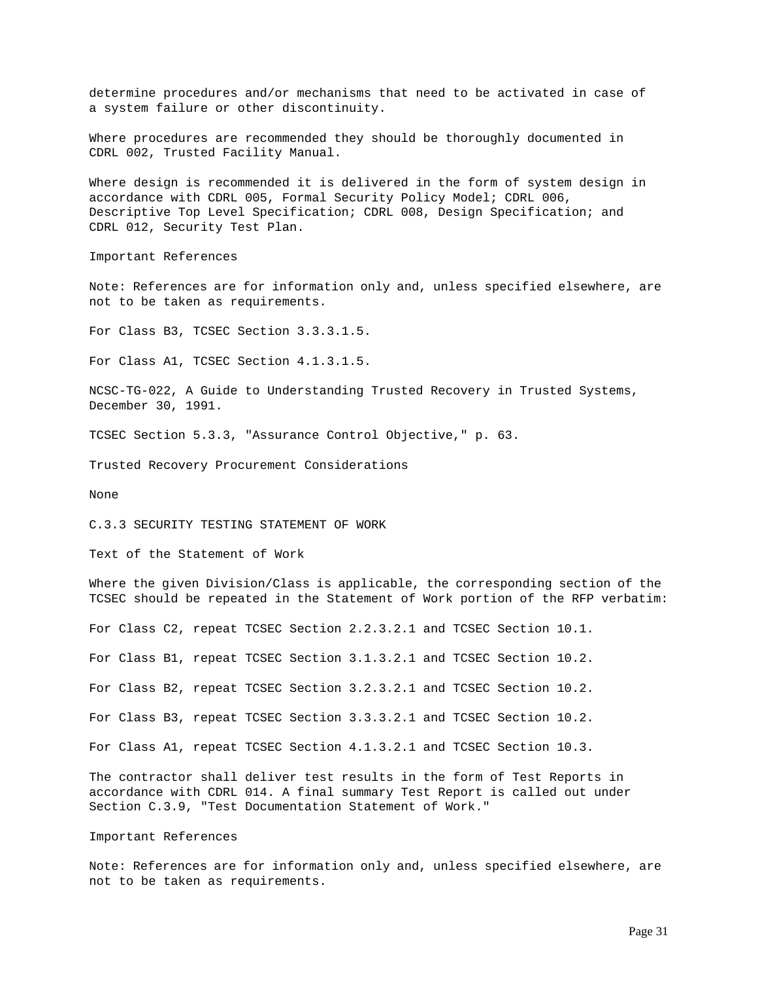determine procedures and/or mechanisms that need to be activated in case of a system failure or other discontinuity.

Where procedures are recommended they should be thoroughly documented in CDRL 002, Trusted Facility Manual.

Where design is recommended it is delivered in the form of system design in accordance with CDRL 005, Formal Security Policy Model; CDRL 006, Descriptive Top Level Specification; CDRL 008, Design Specification; and CDRL 012, Security Test Plan.

Important References

Note: References are for information only and, unless specified elsewhere, are not to be taken as requirements.

For Class B3, TCSEC Section 3.3.3.1.5.

For Class A1, TCSEC Section 4.1.3.1.5.

NCSC-TG-022, A Guide to Understanding Trusted Recovery in Trusted Systems, December 30, 1991.

TCSEC Section 5.3.3, "Assurance Control Objective," p. 63.

Trusted Recovery Procurement Considerations

None

C.3.3 SECURITY TESTING STATEMENT OF WORK

Text of the Statement of Work

Where the given Division/Class is applicable, the corresponding section of the TCSEC should be repeated in the Statement of Work portion of the RFP verbatim:

For Class C2, repeat TCSEC Section 2.2.3.2.1 and TCSEC Section 10.1.

For Class B1, repeat TCSEC Section 3.1.3.2.1 and TCSEC Section 10.2.

For Class B2, repeat TCSEC Section 3.2.3.2.1 and TCSEC Section 10.2.

For Class B3, repeat TCSEC Section 3.3.3.2.1 and TCSEC Section 10.2.

For Class A1, repeat TCSEC Section 4.1.3.2.1 and TCSEC Section 10.3.

The contractor shall deliver test results in the form of Test Reports in accordance with CDRL 014. A final summary Test Report is called out under Section C.3.9, "Test Documentation Statement of Work."

## Important References

Note: References are for information only and, unless specified elsewhere, are not to be taken as requirements.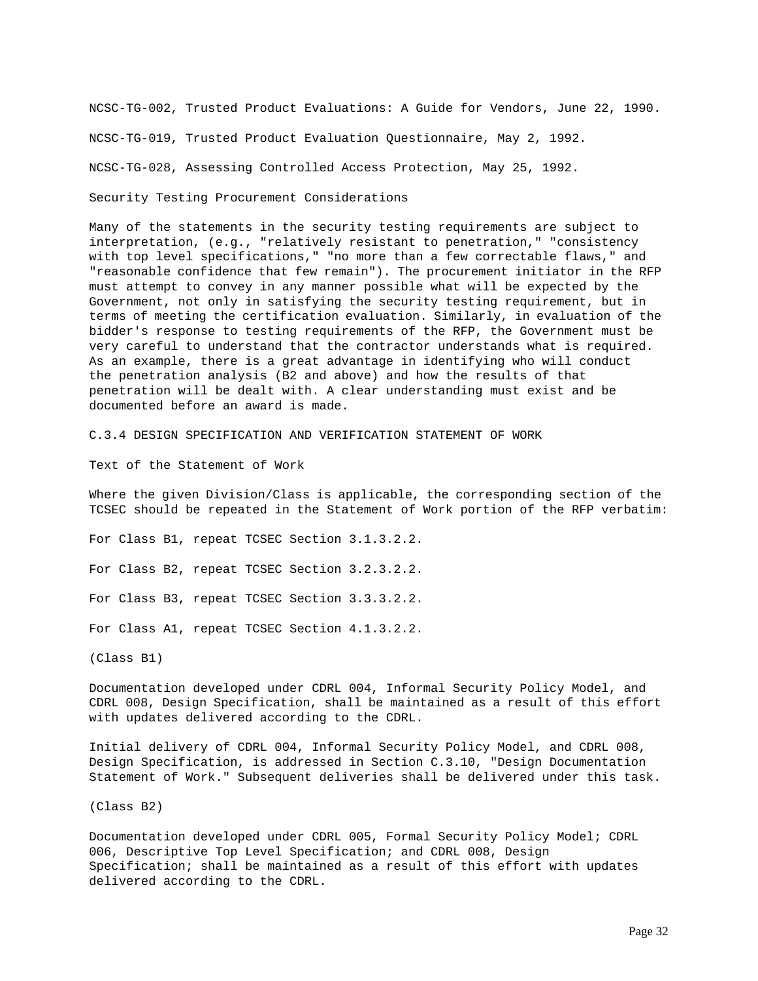NCSC-TG-002, Trusted Product Evaluations: A Guide for Vendors, June 22, 1990. NCSC-TG-019, Trusted Product Evaluation Questionnaire, May 2, 1992. NCSC-TG-028, Assessing Controlled Access Protection, May 25, 1992.

Security Testing Procurement Considerations

Many of the statements in the security testing requirements are subject to interpretation, (e.g., "relatively resistant to penetration," "consistency with top level specifications," "no more than a few correctable flaws," and "reasonable confidence that few remain"). The procurement initiator in the RFP must attempt to convey in any manner possible what will be expected by the Government, not only in satisfying the security testing requirement, but in terms of meeting the certification evaluation. Similarly, in evaluation of the bidder's response to testing requirements of the RFP, the Government must be very careful to understand that the contractor understands what is required. As an example, there is a great advantage in identifying who will conduct the penetration analysis (B2 and above) and how the results of that penetration will be dealt with. A clear understanding must exist and be documented before an award is made.

C.3.4 DESIGN SPECIFICATION AND VERIFICATION STATEMENT OF WORK

Text of the Statement of Work

Where the given Division/Class is applicable, the corresponding section of the TCSEC should be repeated in the Statement of Work portion of the RFP verbatim:

For Class B1, repeat TCSEC Section 3.1.3.2.2.

For Class B2, repeat TCSEC Section 3.2.3.2.2.

For Class B3, repeat TCSEC Section 3.3.3.2.2.

For Class A1, repeat TCSEC Section 4.1.3.2.2.

(Class B1)

Documentation developed under CDRL 004, Informal Security Policy Model, and CDRL 008, Design Specification, shall be maintained as a result of this effort with updates delivered according to the CDRL.

Initial delivery of CDRL 004, Informal Security Policy Model, and CDRL 008, Design Specification, is addressed in Section C.3.10, "Design Documentation Statement of Work." Subsequent deliveries shall be delivered under this task.

(Class B2)

Documentation developed under CDRL 005, Formal Security Policy Model; CDRL 006, Descriptive Top Level Specification; and CDRL 008, Design Specification; shall be maintained as a result of this effort with updates delivered according to the CDRL.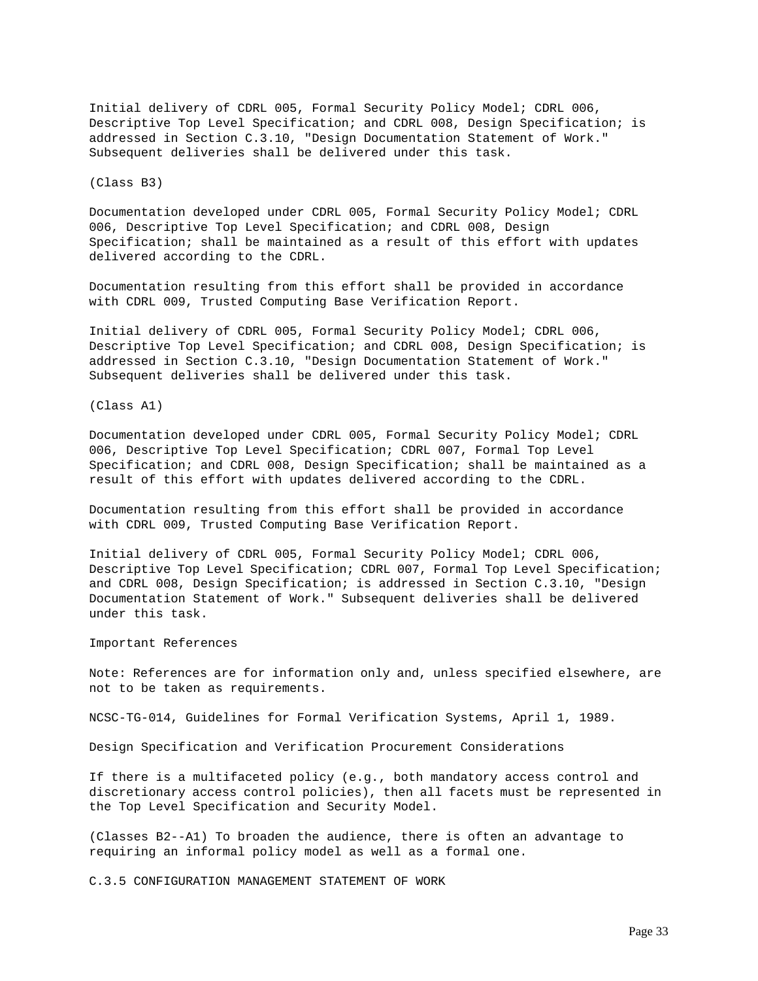Initial delivery of CDRL 005, Formal Security Policy Model; CDRL 006, Descriptive Top Level Specification; and CDRL 008, Design Specification; is addressed in Section C.3.10, "Design Documentation Statement of Work." Subsequent deliveries shall be delivered under this task.

(Class B3)

Documentation developed under CDRL 005, Formal Security Policy Model; CDRL 006, Descriptive Top Level Specification; and CDRL 008, Design Specification; shall be maintained as a result of this effort with updates delivered according to the CDRL.

Documentation resulting from this effort shall be provided in accordance with CDRL 009, Trusted Computing Base Verification Report.

Initial delivery of CDRL 005, Formal Security Policy Model; CDRL 006, Descriptive Top Level Specification; and CDRL 008, Design Specification; is addressed in Section C.3.10, "Design Documentation Statement of Work." Subsequent deliveries shall be delivered under this task.

(Class A1)

Documentation developed under CDRL 005, Formal Security Policy Model; CDRL 006, Descriptive Top Level Specification; CDRL 007, Formal Top Level Specification; and CDRL 008, Design Specification; shall be maintained as a result of this effort with updates delivered according to the CDRL.

Documentation resulting from this effort shall be provided in accordance with CDRL 009, Trusted Computing Base Verification Report.

Initial delivery of CDRL 005, Formal Security Policy Model; CDRL 006, Descriptive Top Level Specification; CDRL 007, Formal Top Level Specification; and CDRL 008, Design Specification; is addressed in Section C.3.10, "Design Documentation Statement of Work." Subsequent deliveries shall be delivered under this task.

Important References

Note: References are for information only and, unless specified elsewhere, are not to be taken as requirements.

NCSC-TG-014, Guidelines for Formal Verification Systems, April 1, 1989.

Design Specification and Verification Procurement Considerations

If there is a multifaceted policy (e.g., both mandatory access control and discretionary access control policies), then all facets must be represented in the Top Level Specification and Security Model.

(Classes B2--A1) To broaden the audience, there is often an advantage to requiring an informal policy model as well as a formal one.

C.3.5 CONFIGURATION MANAGEMENT STATEMENT OF WORK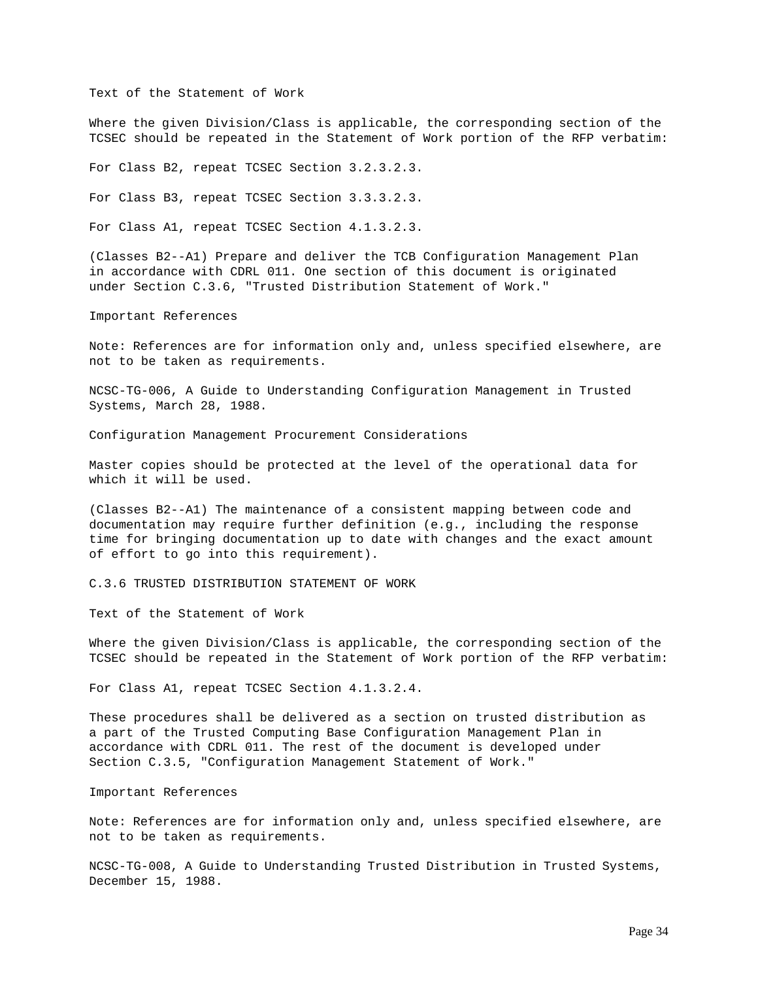Text of the Statement of Work

Where the given Division/Class is applicable, the corresponding section of the TCSEC should be repeated in the Statement of Work portion of the RFP verbatim:

For Class B2, repeat TCSEC Section 3.2.3.2.3.

For Class B3, repeat TCSEC Section 3.3.3.2.3.

For Class A1, repeat TCSEC Section 4.1.3.2.3.

(Classes B2--A1) Prepare and deliver the TCB Configuration Management Plan in accordance with CDRL 011. One section of this document is originated under Section C.3.6, "Trusted Distribution Statement of Work."

Important References

Note: References are for information only and, unless specified elsewhere, are not to be taken as requirements.

NCSC-TG-006, A Guide to Understanding Configuration Management in Trusted Systems, March 28, 1988.

Configuration Management Procurement Considerations

Master copies should be protected at the level of the operational data for which it will be used.

(Classes B2--A1) The maintenance of a consistent mapping between code and documentation may require further definition (e.g., including the response time for bringing documentation up to date with changes and the exact amount of effort to go into this requirement).

C.3.6 TRUSTED DISTRIBUTION STATEMENT OF WORK

Text of the Statement of Work

Where the given Division/Class is applicable, the corresponding section of the TCSEC should be repeated in the Statement of Work portion of the RFP verbatim:

For Class A1, repeat TCSEC Section 4.1.3.2.4.

These procedures shall be delivered as a section on trusted distribution as a part of the Trusted Computing Base Configuration Management Plan in accordance with CDRL 011. The rest of the document is developed under Section C.3.5, "Configuration Management Statement of Work."

Important References

Note: References are for information only and, unless specified elsewhere, are not to be taken as requirements.

NCSC-TG-008, A Guide to Understanding Trusted Distribution in Trusted Systems, December 15, 1988.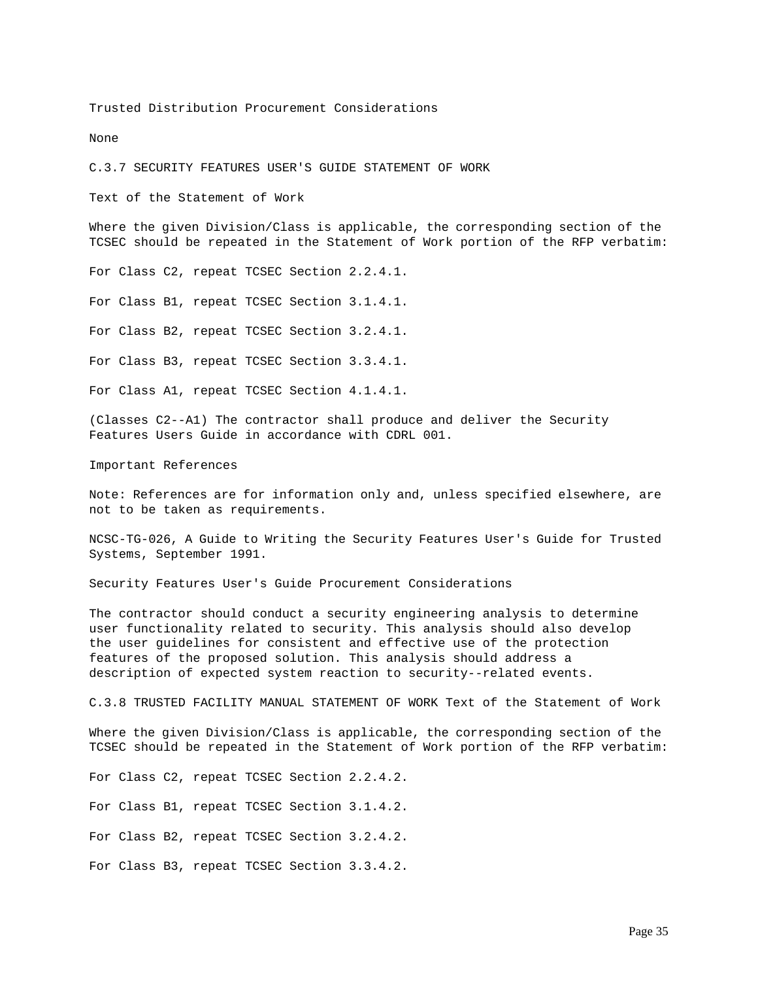Trusted Distribution Procurement Considerations

None

C.3.7 SECURITY FEATURES USER'S GUIDE STATEMENT OF WORK

Text of the Statement of Work

Where the given Division/Class is applicable, the corresponding section of the TCSEC should be repeated in the Statement of Work portion of the RFP verbatim:

For Class C2, repeat TCSEC Section 2.2.4.1.

For Class B1, repeat TCSEC Section 3.1.4.1.

For Class B2, repeat TCSEC Section 3.2.4.1.

For Class B3, repeat TCSEC Section 3.3.4.1.

For Class A1, repeat TCSEC Section 4.1.4.1.

(Classes C2--A1) The contractor shall produce and deliver the Security Features Users Guide in accordance with CDRL 001.

Important References

Note: References are for information only and, unless specified elsewhere, are not to be taken as requirements.

NCSC-TG-026, A Guide to Writing the Security Features User's Guide for Trusted Systems, September 1991.

Security Features User's Guide Procurement Considerations

The contractor should conduct a security engineering analysis to determine user functionality related to security. This analysis should also develop the user guidelines for consistent and effective use of the protection features of the proposed solution. This analysis should address a description of expected system reaction to security--related events.

C.3.8 TRUSTED FACILITY MANUAL STATEMENT OF WORK Text of the Statement of Work

Where the given Division/Class is applicable, the corresponding section of the TCSEC should be repeated in the Statement of Work portion of the RFP verbatim:

For Class C2, repeat TCSEC Section 2.2.4.2.

For Class B1, repeat TCSEC Section 3.1.4.2.

For Class B2, repeat TCSEC Section 3.2.4.2.

For Class B3, repeat TCSEC Section 3.3.4.2.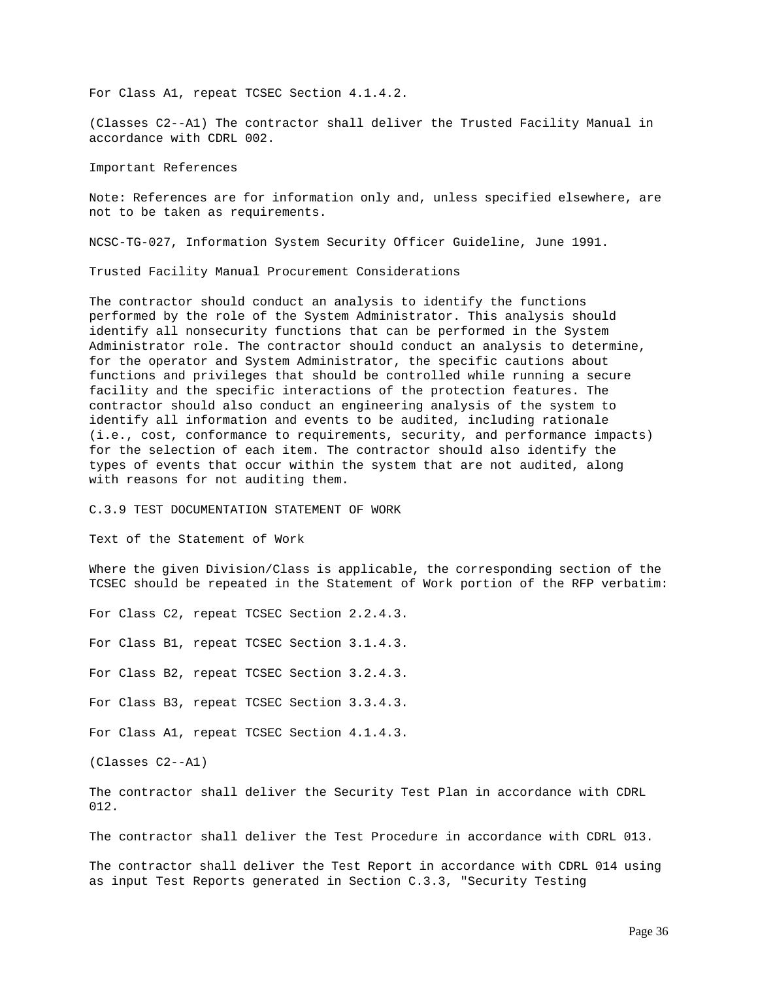For Class A1, repeat TCSEC Section 4.1.4.2.

(Classes C2--A1) The contractor shall deliver the Trusted Facility Manual in accordance with CDRL 002.

Important References

Note: References are for information only and, unless specified elsewhere, are not to be taken as requirements.

NCSC-TG-027, Information System Security Officer Guideline, June 1991.

Trusted Facility Manual Procurement Considerations

The contractor should conduct an analysis to identify the functions performed by the role of the System Administrator. This analysis should identify all nonsecurity functions that can be performed in the System Administrator role. The contractor should conduct an analysis to determine, for the operator and System Administrator, the specific cautions about functions and privileges that should be controlled while running a secure facility and the specific interactions of the protection features. The contractor should also conduct an engineering analysis of the system to identify all information and events to be audited, including rationale (i.e., cost, conformance to requirements, security, and performance impacts) for the selection of each item. The contractor should also identify the types of events that occur within the system that are not audited, along with reasons for not auditing them.

C.3.9 TEST DOCUMENTATION STATEMENT OF WORK

Text of the Statement of Work

Where the given Division/Class is applicable, the corresponding section of the TCSEC should be repeated in the Statement of Work portion of the RFP verbatim:

For Class C2, repeat TCSEC Section 2.2.4.3.

For Class B1, repeat TCSEC Section 3.1.4.3.

For Class B2, repeat TCSEC Section 3.2.4.3.

For Class B3, repeat TCSEC Section 3.3.4.3.

For Class A1, repeat TCSEC Section 4.1.4.3.

(Classes C2--A1)

The contractor shall deliver the Security Test Plan in accordance with CDRL 012.

The contractor shall deliver the Test Procedure in accordance with CDRL 013.

The contractor shall deliver the Test Report in accordance with CDRL 014 using as input Test Reports generated in Section C.3.3, "Security Testing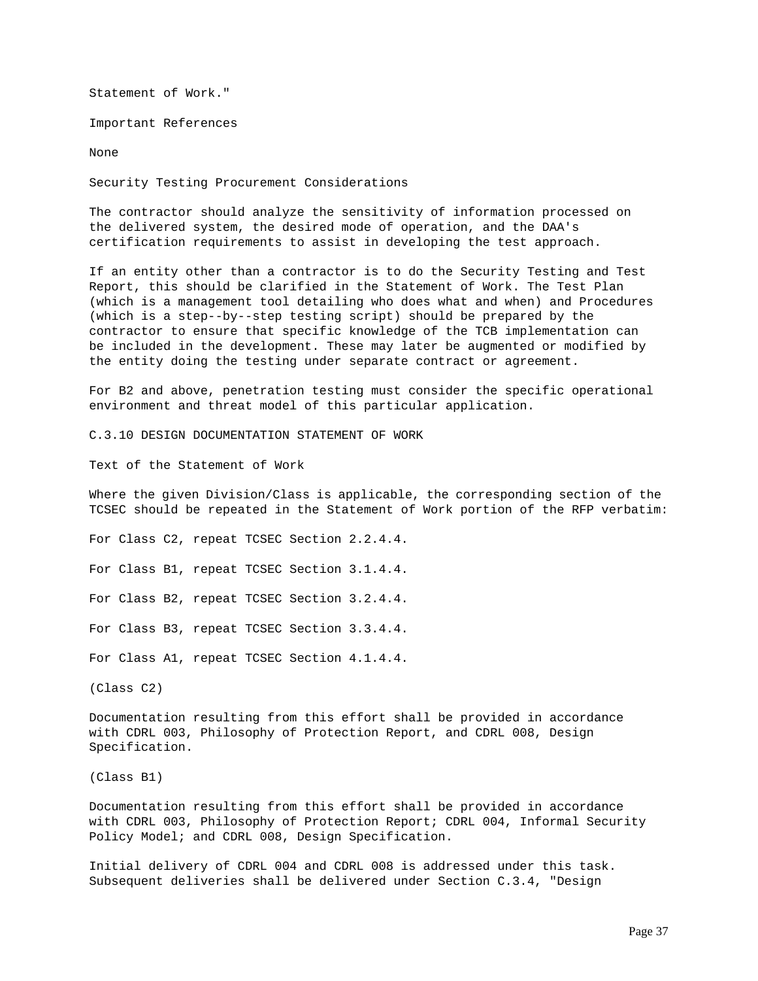Statement of Work."

Important References

None

Security Testing Procurement Considerations

The contractor should analyze the sensitivity of information processed on the delivered system, the desired mode of operation, and the DAA's certification requirements to assist in developing the test approach.

If an entity other than a contractor is to do the Security Testing and Test Report, this should be clarified in the Statement of Work. The Test Plan (which is a management tool detailing who does what and when) and Procedures (which is a step--by--step testing script) should be prepared by the contractor to ensure that specific knowledge of the TCB implementation can be included in the development. These may later be augmented or modified by the entity doing the testing under separate contract or agreement.

For B2 and above, penetration testing must consider the specific operational environment and threat model of this particular application.

C.3.10 DESIGN DOCUMENTATION STATEMENT OF WORK

Text of the Statement of Work

Where the given Division/Class is applicable, the corresponding section of the TCSEC should be repeated in the Statement of Work portion of the RFP verbatim:

For Class C2, repeat TCSEC Section 2.2.4.4.

For Class B1, repeat TCSEC Section 3.1.4.4.

For Class B2, repeat TCSEC Section 3.2.4.4.

For Class B3, repeat TCSEC Section 3.3.4.4.

For Class A1, repeat TCSEC Section 4.1.4.4.

(Class C2)

Documentation resulting from this effort shall be provided in accordance with CDRL 003, Philosophy of Protection Report, and CDRL 008, Design Specification.

(Class B1)

Documentation resulting from this effort shall be provided in accordance with CDRL 003, Philosophy of Protection Report; CDRL 004, Informal Security Policy Model; and CDRL 008, Design Specification.

Initial delivery of CDRL 004 and CDRL 008 is addressed under this task. Subsequent deliveries shall be delivered under Section C.3.4, "Design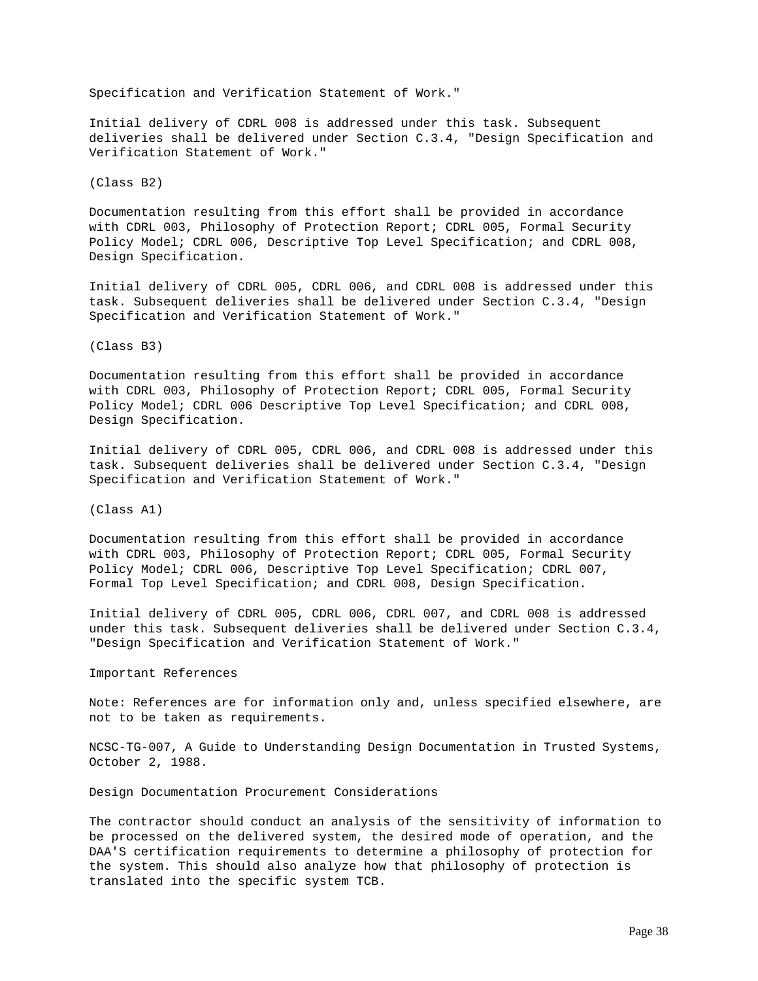Specification and Verification Statement of Work."

Initial delivery of CDRL 008 is addressed under this task. Subsequent deliveries shall be delivered under Section C.3.4, "Design Specification and Verification Statement of Work."

(Class B2)

Documentation resulting from this effort shall be provided in accordance with CDRL 003, Philosophy of Protection Report; CDRL 005, Formal Security Policy Model; CDRL 006, Descriptive Top Level Specification; and CDRL 008, Design Specification.

Initial delivery of CDRL 005, CDRL 006, and CDRL 008 is addressed under this task. Subsequent deliveries shall be delivered under Section C.3.4, "Design Specification and Verification Statement of Work."

(Class B3)

Documentation resulting from this effort shall be provided in accordance with CDRL 003, Philosophy of Protection Report; CDRL 005, Formal Security Policy Model; CDRL 006 Descriptive Top Level Specification; and CDRL 008, Design Specification.

Initial delivery of CDRL 005, CDRL 006, and CDRL 008 is addressed under this task. Subsequent deliveries shall be delivered under Section C.3.4, "Design Specification and Verification Statement of Work."

(Class A1)

Documentation resulting from this effort shall be provided in accordance with CDRL 003, Philosophy of Protection Report; CDRL 005, Formal Security Policy Model; CDRL 006, Descriptive Top Level Specification; CDRL 007, Formal Top Level Specification; and CDRL 008, Design Specification.

Initial delivery of CDRL 005, CDRL 006, CDRL 007, and CDRL 008 is addressed under this task. Subsequent deliveries shall be delivered under Section C.3.4, "Design Specification and Verification Statement of Work."

Important References

Note: References are for information only and, unless specified elsewhere, are not to be taken as requirements.

NCSC-TG-007, A Guide to Understanding Design Documentation in Trusted Systems, October 2, 1988.

Design Documentation Procurement Considerations

The contractor should conduct an analysis of the sensitivity of information to be processed on the delivered system, the desired mode of operation, and the DAA'S certification requirements to determine a philosophy of protection for the system. This should also analyze how that philosophy of protection is translated into the specific system TCB.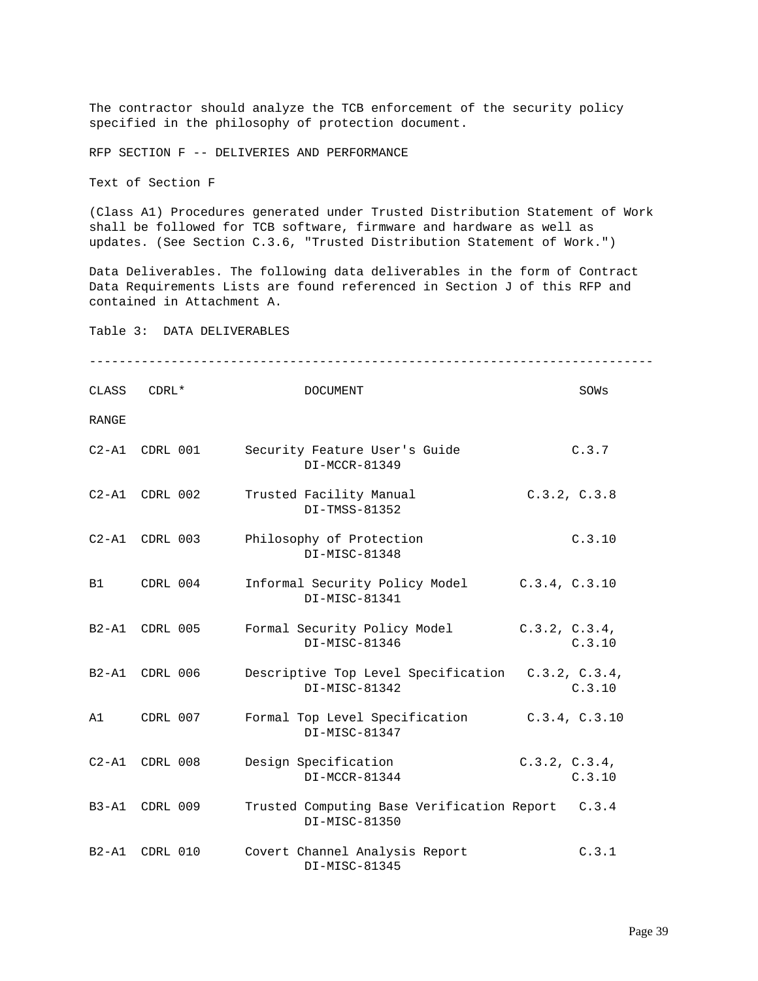The contractor should analyze the TCB enforcement of the security policy specified in the philosophy of protection document.

RFP SECTION F -- DELIVERIES AND PERFORMANCE

Text of Section F

(Class A1) Procedures generated under Trusted Distribution Statement of Work shall be followed for TCB software, firmware and hardware as well as updates. (See Section C.3.6, "Trusted Distribution Statement of Work.")

Data Deliverables. The following data deliverables in the form of Contract Data Requirements Lists are found referenced in Section J of this RFP and contained in Attachment A.

----------------------------------------------------------------------------

Table 3: DATA DELIVERABLES

CLASS CDRL\* DOCUMENT SOWs RANGE C2-A1 CDRL 001 Security Feature User's Guide C.3.7 DI-MCCR-81349 C2-A1 CDRL 002 Trusted Facility Manual C.3.2, C.3.8 DI-TMSS-81352 C2-A1 CDRL 003 Philosophy of Protection C.3.10 DI-MISC-81348 B1 CDRL 004 Informal Security Policy Model C.3.4, C.3.10 DI-MISC-81341 B2-A1 CDRL 005 Formal Security Policy Model C.3.2, C.3.4, DI-MISC-81346 C.3.10 B2-A1 CDRL 006 Descriptive Top Level Specification C.3.2, C.3.4, DI-MISC-81342 C.3.10 A1 CDRL 007 Formal Top Level Specification C.3.4, C.3.10 DI-MISC-81347 C2-A1 CDRL 008 Design Specification C.3.2, C.3.4, DI-MCCR-81344 C.3.10 B3-A1 CDRL 009 Trusted Computing Base Verification Report C.3.4 DI-MISC-81350 B2-A1 CDRL 010 Covert Channel Analysis Report C.3.1 DI-MISC-81345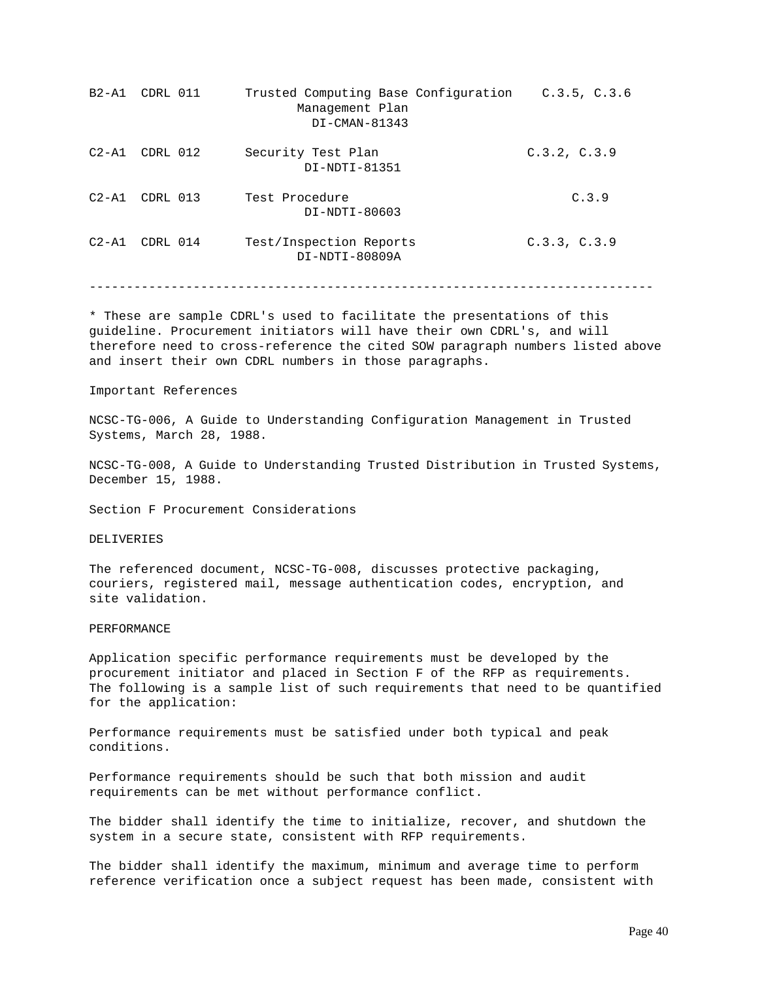| $B2 - A1$ | CDRL 011 | Trusted Computing Base Configuration<br>Management Plan<br>DI-CMAN-81343 | C.3.5, C.3.6 |
|-----------|----------|--------------------------------------------------------------------------|--------------|
| $C2 - A1$ | CDRL 012 | Security Test Plan<br>DI-NDTI-81351                                      | C.3.2, C.3.9 |
| $C2 - A1$ | CDRL 013 | Test Procedure<br>DI-NDTI-80603                                          | C.3.9        |
| $C2 - A1$ | CDRL 014 | Test/Inspection Reports<br>DI-NDTI-80809A                                | C.3.3, C.3.9 |

----------------------------------------------------------------------------

\* These are sample CDRL's used to facilitate the presentations of this guideline. Procurement initiators will have their own CDRL's, and will therefore need to cross-reference the cited SOW paragraph numbers listed above and insert their own CDRL numbers in those paragraphs.

#### Important References

NCSC-TG-006, A Guide to Understanding Configuration Management in Trusted Systems, March 28, 1988.

NCSC-TG-008, A Guide to Understanding Trusted Distribution in Trusted Systems, December 15, 1988.

Section F Procurement Considerations

DELIVERIES

The referenced document, NCSC-TG-008, discusses protective packaging, couriers, registered mail, message authentication codes, encryption, and site validation.

PERFORMANCE

Application specific performance requirements must be developed by the procurement initiator and placed in Section F of the RFP as requirements. The following is a sample list of such requirements that need to be quantified for the application:

Performance requirements must be satisfied under both typical and peak conditions.

Performance requirements should be such that both mission and audit requirements can be met without performance conflict.

The bidder shall identify the time to initialize, recover, and shutdown the system in a secure state, consistent with RFP requirements.

The bidder shall identify the maximum, minimum and average time to perform reference verification once a subject request has been made, consistent with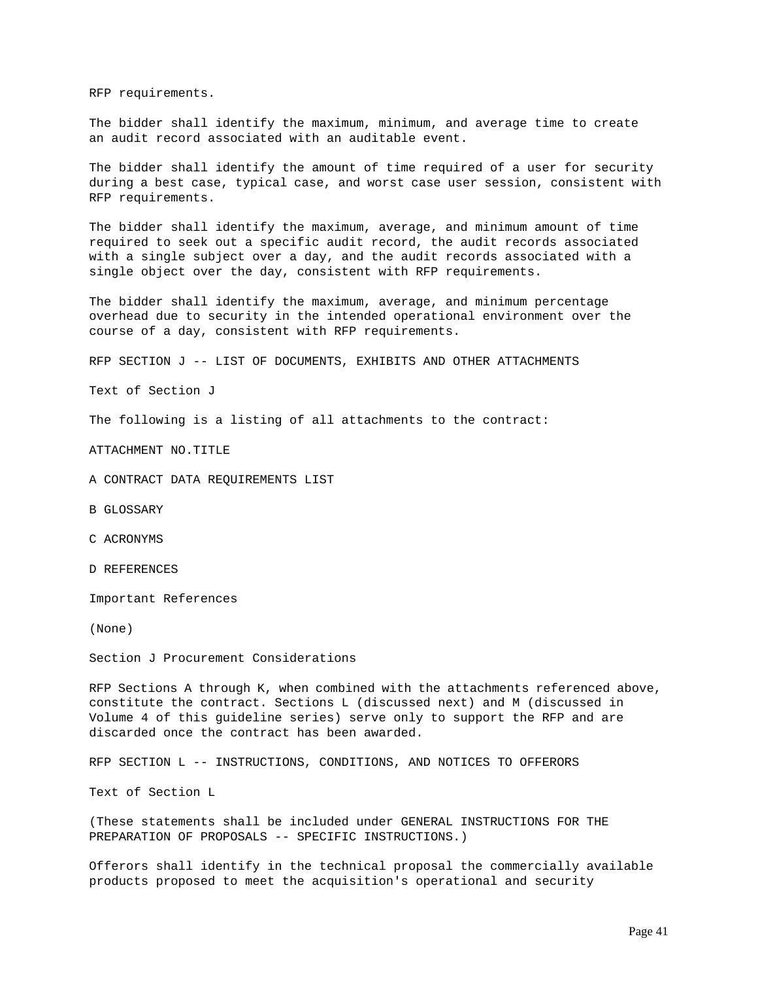RFP requirements.

The bidder shall identify the maximum, minimum, and average time to create an audit record associated with an auditable event.

The bidder shall identify the amount of time required of a user for security during a best case, typical case, and worst case user session, consistent with RFP requirements.

The bidder shall identify the maximum, average, and minimum amount of time required to seek out a specific audit record, the audit records associated with a single subject over a day, and the audit records associated with a single object over the day, consistent with RFP requirements.

The bidder shall identify the maximum, average, and minimum percentage overhead due to security in the intended operational environment over the course of a day, consistent with RFP requirements.

RFP SECTION J -- LIST OF DOCUMENTS, EXHIBITS AND OTHER ATTACHMENTS

Text of Section J

The following is a listing of all attachments to the contract:

ATTACHMENT NO.TITLE

A CONTRACT DATA REQUIREMENTS LIST

B GLOSSARY

C ACRONYMS

D REFERENCES

Important References

(None)

Section J Procurement Considerations

RFP Sections A through K, when combined with the attachments referenced above, constitute the contract. Sections L (discussed next) and M (discussed in Volume 4 of this guideline series) serve only to support the RFP and are discarded once the contract has been awarded.

RFP SECTION L -- INSTRUCTIONS, CONDITIONS, AND NOTICES TO OFFERORS

Text of Section L

(These statements shall be included under GENERAL INSTRUCTIONS FOR THE PREPARATION OF PROPOSALS -- SPECIFIC INSTRUCTIONS.)

Offerors shall identify in the technical proposal the commercially available products proposed to meet the acquisition's operational and security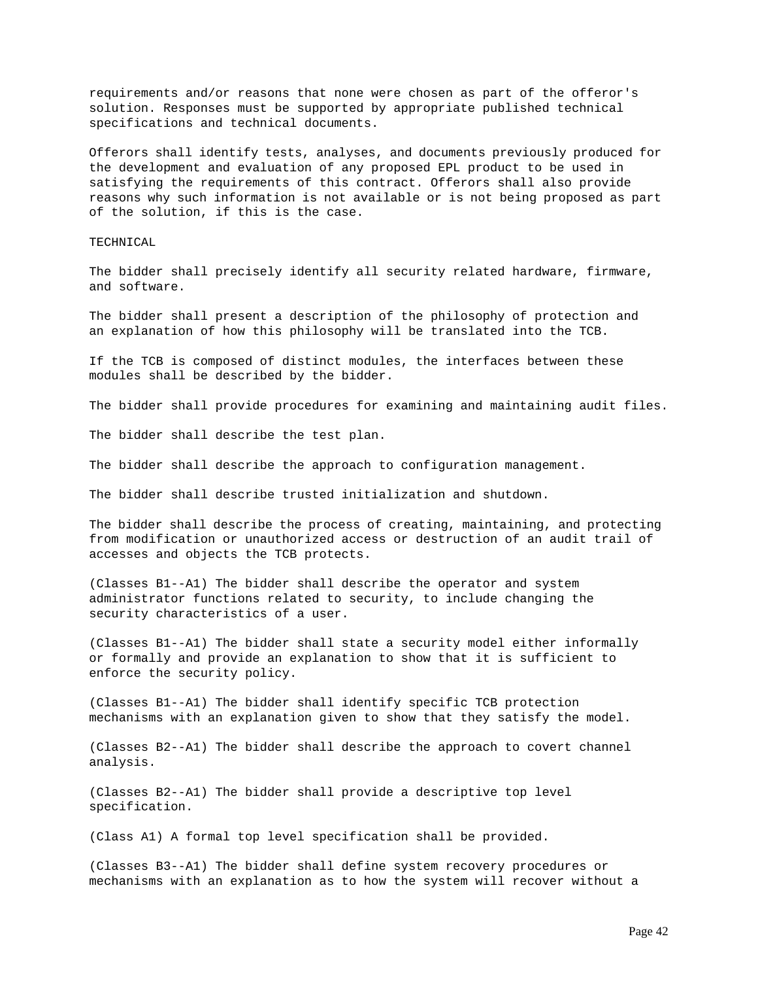requirements and/or reasons that none were chosen as part of the offeror's solution. Responses must be supported by appropriate published technical specifications and technical documents.

Offerors shall identify tests, analyses, and documents previously produced for the development and evaluation of any proposed EPL product to be used in satisfying the requirements of this contract. Offerors shall also provide reasons why such information is not available or is not being proposed as part of the solution, if this is the case.

TECHNICAL

The bidder shall precisely identify all security related hardware, firmware, and software.

The bidder shall present a description of the philosophy of protection and an explanation of how this philosophy will be translated into the TCB.

If the TCB is composed of distinct modules, the interfaces between these modules shall be described by the bidder.

The bidder shall provide procedures for examining and maintaining audit files.

The bidder shall describe the test plan.

The bidder shall describe the approach to configuration management.

The bidder shall describe trusted initialization and shutdown.

The bidder shall describe the process of creating, maintaining, and protecting from modification or unauthorized access or destruction of an audit trail of accesses and objects the TCB protects.

(Classes B1--A1) The bidder shall describe the operator and system administrator functions related to security, to include changing the security characteristics of a user.

(Classes B1--A1) The bidder shall state a security model either informally or formally and provide an explanation to show that it is sufficient to enforce the security policy.

(Classes B1--A1) The bidder shall identify specific TCB protection mechanisms with an explanation given to show that they satisfy the model.

(Classes B2--A1) The bidder shall describe the approach to covert channel analysis.

(Classes B2--A1) The bidder shall provide a descriptive top level specification.

(Class A1) A formal top level specification shall be provided.

(Classes B3--A1) The bidder shall define system recovery procedures or mechanisms with an explanation as to how the system will recover without a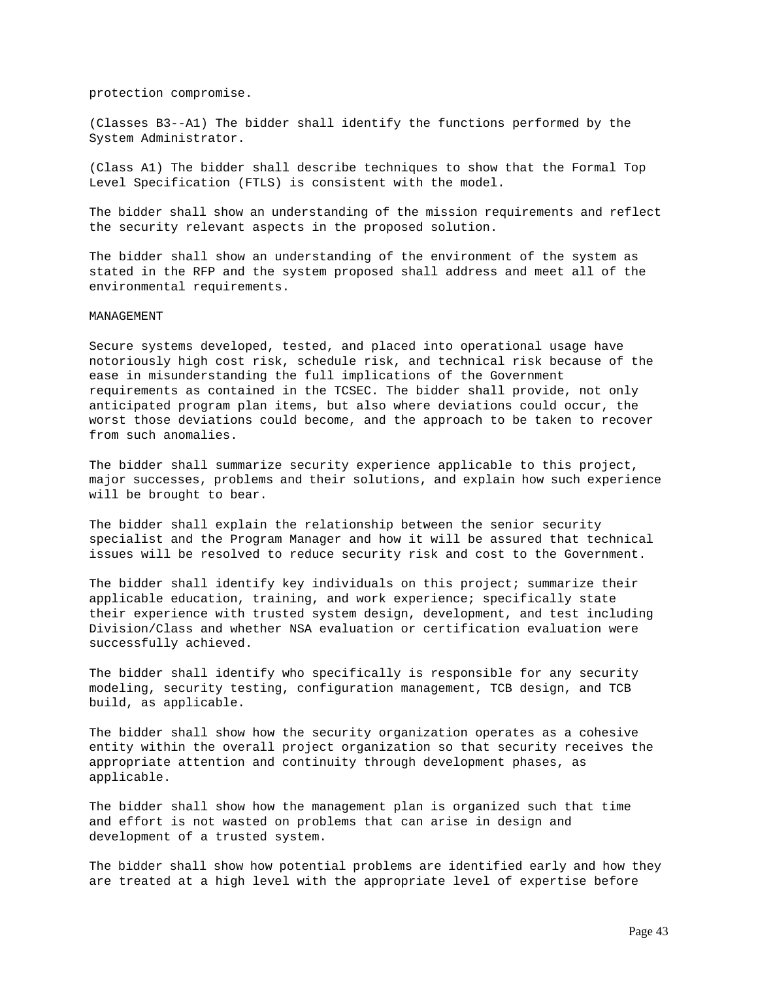protection compromise.

(Classes B3--A1) The bidder shall identify the functions performed by the System Administrator.

(Class A1) The bidder shall describe techniques to show that the Formal Top Level Specification (FTLS) is consistent with the model.

The bidder shall show an understanding of the mission requirements and reflect the security relevant aspects in the proposed solution.

The bidder shall show an understanding of the environment of the system as stated in the RFP and the system proposed shall address and meet all of the environmental requirements.

#### MANAGEMENT

Secure systems developed, tested, and placed into operational usage have notoriously high cost risk, schedule risk, and technical risk because of the ease in misunderstanding the full implications of the Government requirements as contained in the TCSEC. The bidder shall provide, not only anticipated program plan items, but also where deviations could occur, the worst those deviations could become, and the approach to be taken to recover from such anomalies.

The bidder shall summarize security experience applicable to this project, major successes, problems and their solutions, and explain how such experience will be brought to bear.

The bidder shall explain the relationship between the senior security specialist and the Program Manager and how it will be assured that technical issues will be resolved to reduce security risk and cost to the Government.

The bidder shall identify key individuals on this project; summarize their applicable education, training, and work experience; specifically state their experience with trusted system design, development, and test including Division/Class and whether NSA evaluation or certification evaluation were successfully achieved.

The bidder shall identify who specifically is responsible for any security modeling, security testing, configuration management, TCB design, and TCB build, as applicable.

The bidder shall show how the security organization operates as a cohesive entity within the overall project organization so that security receives the appropriate attention and continuity through development phases, as applicable.

The bidder shall show how the management plan is organized such that time and effort is not wasted on problems that can arise in design and development of a trusted system.

The bidder shall show how potential problems are identified early and how they are treated at a high level with the appropriate level of expertise before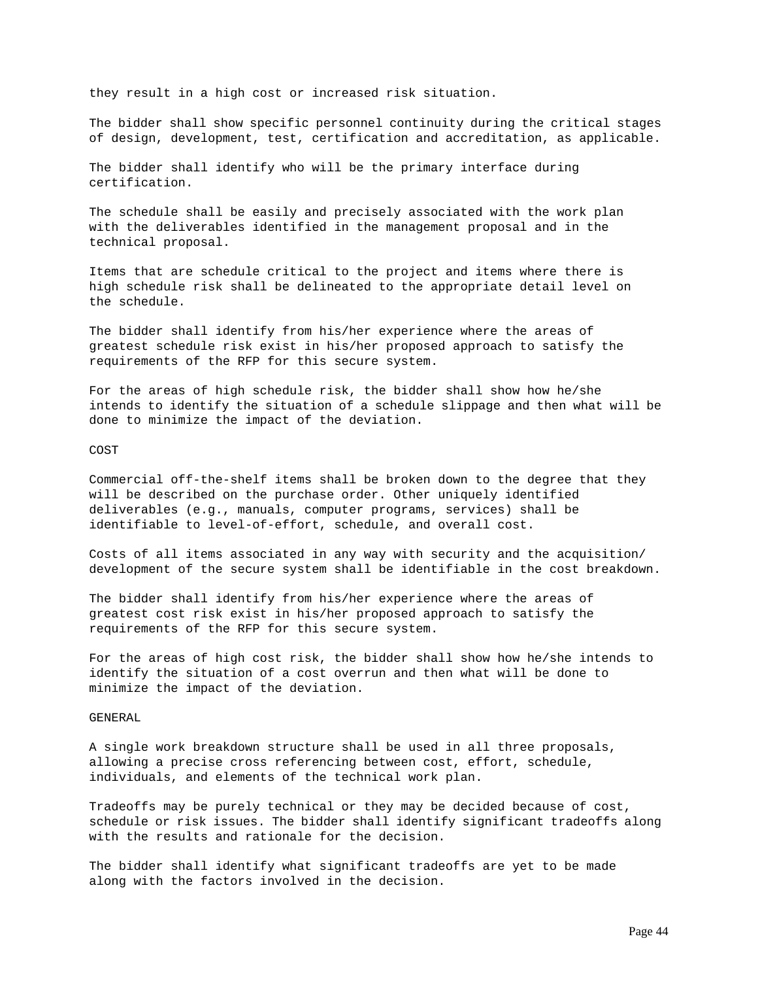they result in a high cost or increased risk situation.

The bidder shall show specific personnel continuity during the critical stages of design, development, test, certification and accreditation, as applicable.

The bidder shall identify who will be the primary interface during certification.

The schedule shall be easily and precisely associated with the work plan with the deliverables identified in the management proposal and in the technical proposal.

Items that are schedule critical to the project and items where there is high schedule risk shall be delineated to the appropriate detail level on the schedule.

The bidder shall identify from his/her experience where the areas of greatest schedule risk exist in his/her proposed approach to satisfy the requirements of the RFP for this secure system.

For the areas of high schedule risk, the bidder shall show how he/she intends to identify the situation of a schedule slippage and then what will be done to minimize the impact of the deviation.

COST

Commercial off-the-shelf items shall be broken down to the degree that they will be described on the purchase order. Other uniquely identified deliverables (e.g., manuals, computer programs, services) shall be identifiable to level-of-effort, schedule, and overall cost.

Costs of all items associated in any way with security and the acquisition/ development of the secure system shall be identifiable in the cost breakdown.

The bidder shall identify from his/her experience where the areas of greatest cost risk exist in his/her proposed approach to satisfy the requirements of the RFP for this secure system.

For the areas of high cost risk, the bidder shall show how he/she intends to identify the situation of a cost overrun and then what will be done to minimize the impact of the deviation.

GENERAL

A single work breakdown structure shall be used in all three proposals, allowing a precise cross referencing between cost, effort, schedule, individuals, and elements of the technical work plan.

Tradeoffs may be purely technical or they may be decided because of cost, schedule or risk issues. The bidder shall identify significant tradeoffs along with the results and rationale for the decision.

The bidder shall identify what significant tradeoffs are yet to be made along with the factors involved in the decision.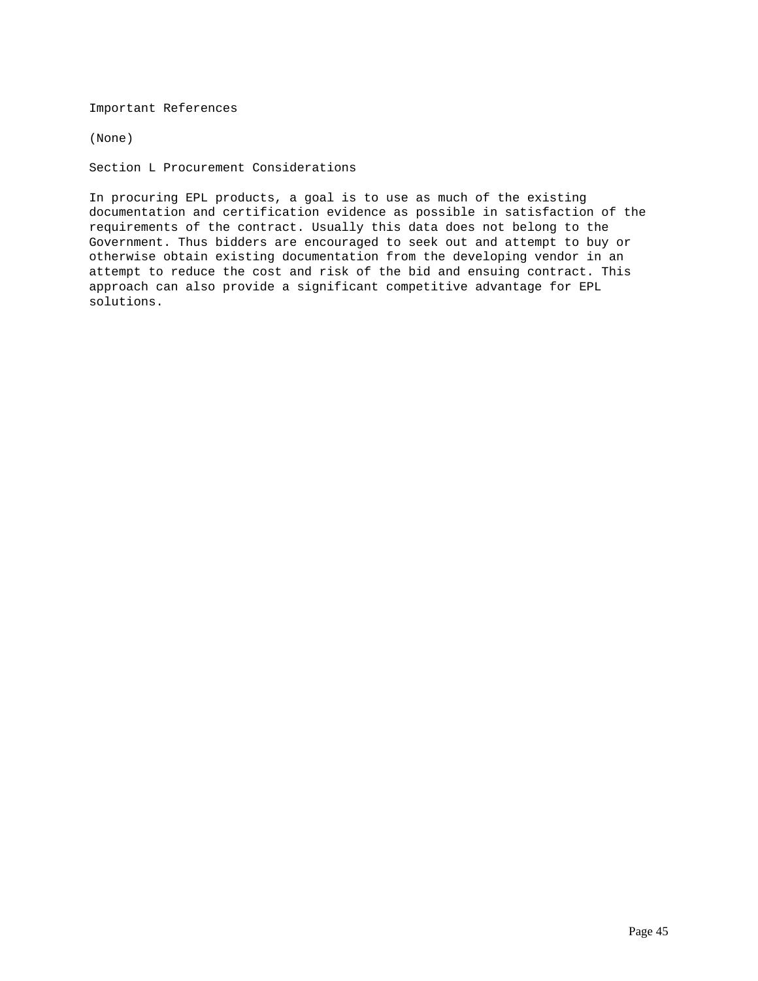Important References

(None)

Section L Procurement Considerations

In procuring EPL products, a goal is to use as much of the existing documentation and certification evidence as possible in satisfaction of the requirements of the contract. Usually this data does not belong to the Government. Thus bidders are encouraged to seek out and attempt to buy or otherwise obtain existing documentation from the developing vendor in an attempt to reduce the cost and risk of the bid and ensuing contract. This approach can also provide a significant competitive advantage for EPL solutions.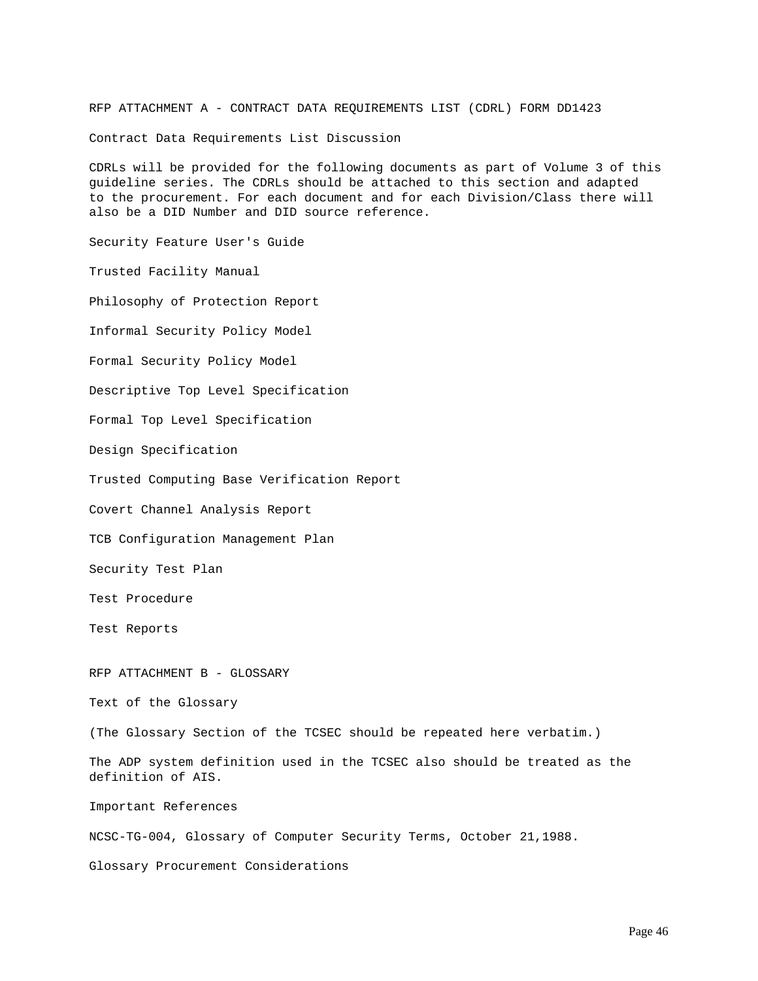RFP ATTACHMENT A - CONTRACT DATA REQUIREMENTS LIST (CDRL) FORM DD1423

Contract Data Requirements List Discussion

CDRLs will be provided for the following documents as part of Volume 3 of this guideline series. The CDRLs should be attached to this section and adapted to the procurement. For each document and for each Division/Class there will also be a DID Number and DID source reference.

Security Feature User's Guide

Trusted Facility Manual

Philosophy of Protection Report

Informal Security Policy Model

Formal Security Policy Model

Descriptive Top Level Specification

Formal Top Level Specification

Design Specification

Trusted Computing Base Verification Report

Covert Channel Analysis Report

TCB Configuration Management Plan

Security Test Plan

Test Procedure

Test Reports

RFP ATTACHMENT B - GLOSSARY

Text of the Glossary

(The Glossary Section of the TCSEC should be repeated here verbatim.)

The ADP system definition used in the TCSEC also should be treated as the definition of AIS.

Important References

NCSC-TG-004, Glossary of Computer Security Terms, October 21,1988.

Glossary Procurement Considerations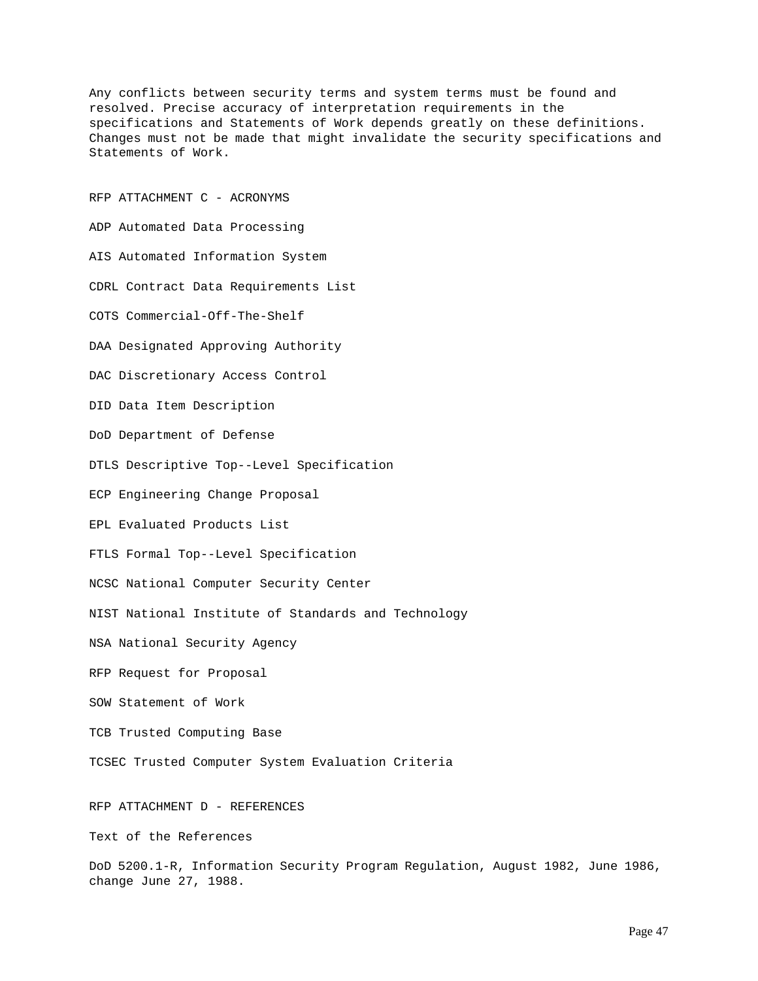Any conflicts between security terms and system terms must be found and resolved. Precise accuracy of interpretation requirements in the specifications and Statements of Work depends greatly on these definitions. Changes must not be made that might invalidate the security specifications and Statements of Work.

RFP ATTACHMENT C - ACRONYMS ADP Automated Data Processing AIS Automated Information System CDRL Contract Data Requirements List COTS Commercial-Off-The-Shelf DAA Designated Approving Authority DAC Discretionary Access Control DID Data Item Description DoD Department of Defense DTLS Descriptive Top--Level Specification ECP Engineering Change Proposal EPL Evaluated Products List FTLS Formal Top--Level Specification NCSC National Computer Security Center NIST National Institute of Standards and Technology NSA National Security Agency RFP Request for Proposal SOW Statement of Work TCB Trusted Computing Base TCSEC Trusted Computer System Evaluation Criteria RFP ATTACHMENT D - REFERENCES

Text of the References

DoD 5200.1-R, Information Security Program Regulation, August 1982, June 1986, change June 27, 1988.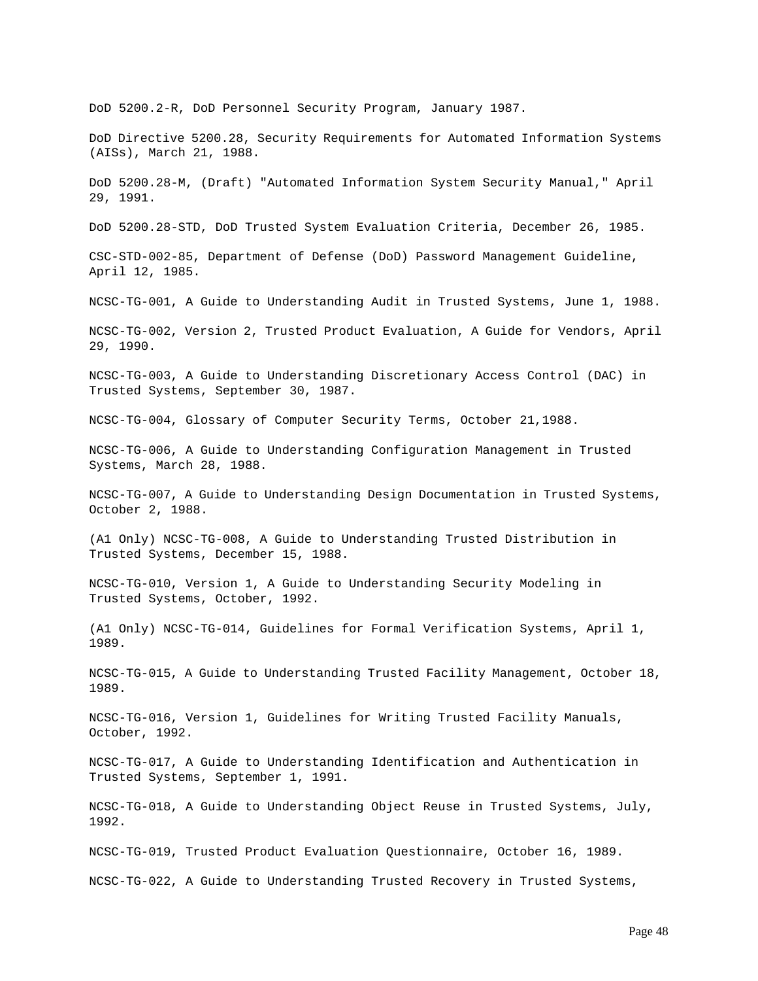DoD 5200.2-R, DoD Personnel Security Program, January 1987. DoD Directive 5200.28, Security Requirements for Automated Information Systems (AISs), March 21, 1988. DoD 5200.28-M, (Draft) "Automated Information System Security Manual," April 29, 1991. DoD 5200.28-STD, DoD Trusted System Evaluation Criteria, December 26, 1985. CSC-STD-002-85, Department of Defense (DoD) Password Management Guideline, April 12, 1985. NCSC-TG-001, A Guide to Understanding Audit in Trusted Systems, June 1, 1988. NCSC-TG-002, Version 2, Trusted Product Evaluation, A Guide for Vendors, April 29, 1990. NCSC-TG-003, A Guide to Understanding Discretionary Access Control (DAC) in Trusted Systems, September 30, 1987. NCSC-TG-004, Glossary of Computer Security Terms, October 21,1988. NCSC-TG-006, A Guide to Understanding Configuration Management in Trusted Systems, March 28, 1988. NCSC-TG-007, A Guide to Understanding Design Documentation in Trusted Systems, October 2, 1988. (A1 Only) NCSC-TG-008, A Guide to Understanding Trusted Distribution in Trusted Systems, December 15, 1988. NCSC-TG-010, Version 1, A Guide to Understanding Security Modeling in Trusted Systems, October, 1992. (A1 Only) NCSC-TG-014, Guidelines for Formal Verification Systems, April 1, 1989. NCSC-TG-015, A Guide to Understanding Trusted Facility Management, October 18, 1989. NCSC-TG-016, Version 1, Guidelines for Writing Trusted Facility Manuals, October, 1992. NCSC-TG-017, A Guide to Understanding Identification and Authentication in Trusted Systems, September 1, 1991. NCSC-TG-018, A Guide to Understanding Object Reuse in Trusted Systems, July, 1992. NCSC-TG-019, Trusted Product Evaluation Questionnaire, October 16, 1989. NCSC-TG-022, A Guide to Understanding Trusted Recovery in Trusted Systems,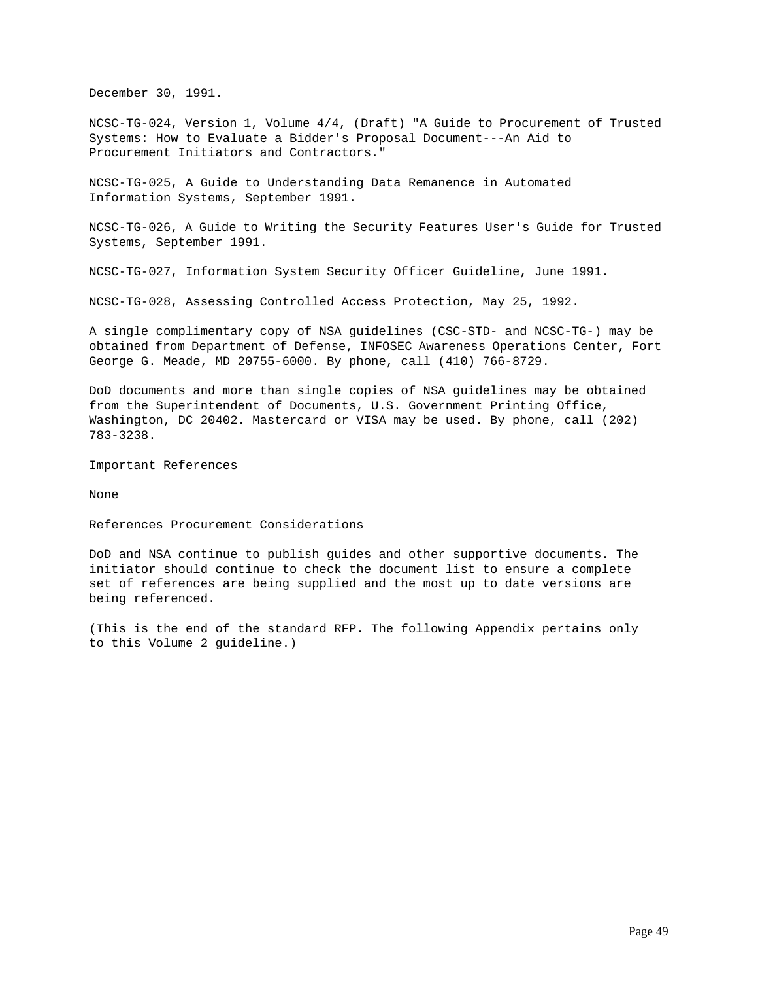December 30, 1991.

NCSC-TG-024, Version 1, Volume 4/4, (Draft) "A Guide to Procurement of Trusted Systems: How to Evaluate a Bidder's Proposal Document---An Aid to Procurement Initiators and Contractors."

NCSC-TG-025, A Guide to Understanding Data Remanence in Automated Information Systems, September 1991.

NCSC-TG-026, A Guide to Writing the Security Features User's Guide for Trusted Systems, September 1991.

NCSC-TG-027, Information System Security Officer Guideline, June 1991.

NCSC-TG-028, Assessing Controlled Access Protection, May 25, 1992.

A single complimentary copy of NSA guidelines (CSC-STD- and NCSC-TG-) may be obtained from Department of Defense, INFOSEC Awareness Operations Center, Fort George G. Meade, MD 20755-6000. By phone, call (410) 766-8729.

DoD documents and more than single copies of NSA guidelines may be obtained from the Superintendent of Documents, U.S. Government Printing Office, Washington, DC 20402. Mastercard or VISA may be used. By phone, call (202) 783-3238.

Important References

None

References Procurement Considerations

DoD and NSA continue to publish guides and other supportive documents. The initiator should continue to check the document list to ensure a complete set of references are being supplied and the most up to date versions are being referenced.

(This is the end of the standard RFP. The following Appendix pertains only to this Volume 2 guideline.)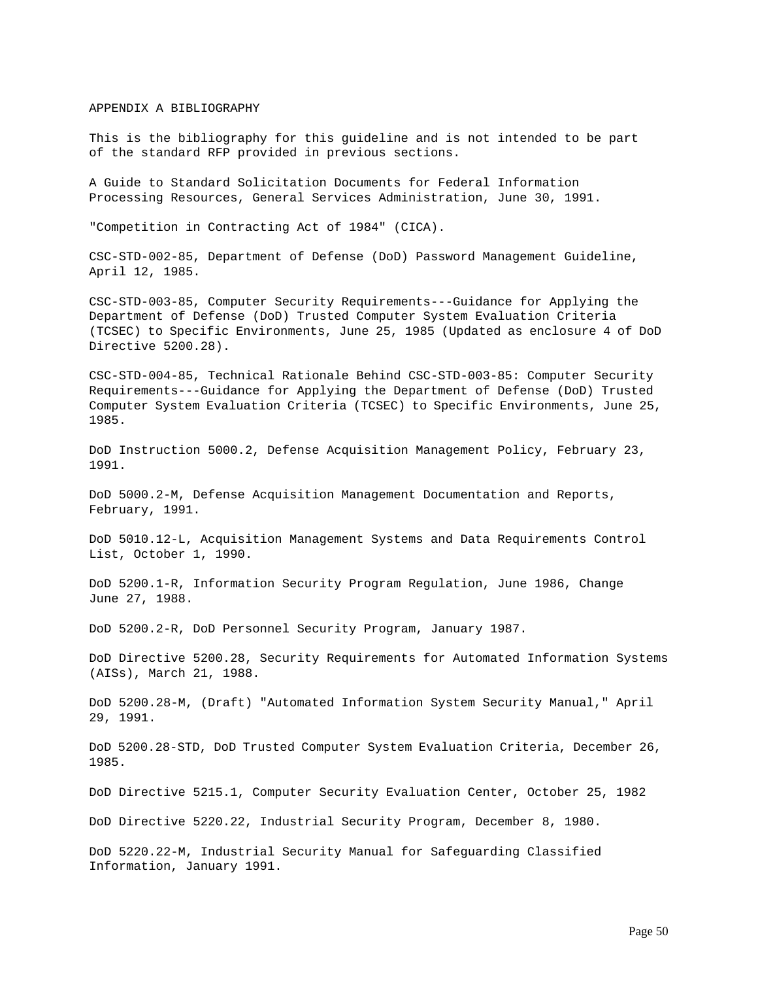### APPENDIX A BIBLIOGRAPHY

This is the bibliography for this guideline and is not intended to be part of the standard RFP provided in previous sections.

A Guide to Standard Solicitation Documents for Federal Information Processing Resources, General Services Administration, June 30, 1991.

"Competition in Contracting Act of 1984" (CICA).

CSC-STD-002-85, Department of Defense (DoD) Password Management Guideline, April 12, 1985.

CSC-STD-003-85, Computer Security Requirements---Guidance for Applying the Department of Defense (DoD) Trusted Computer System Evaluation Criteria (TCSEC) to Specific Environments, June 25, 1985 (Updated as enclosure 4 of DoD Directive 5200.28).

CSC-STD-004-85, Technical Rationale Behind CSC-STD-003-85: Computer Security Requirements---Guidance for Applying the Department of Defense (DoD) Trusted Computer System Evaluation Criteria (TCSEC) to Specific Environments, June 25, 1985.

DoD Instruction 5000.2, Defense Acquisition Management Policy, February 23, 1991.

DoD 5000.2-M, Defense Acquisition Management Documentation and Reports, February, 1991.

DoD 5010.12-L, Acquisition Management Systems and Data Requirements Control List, October 1, 1990.

DoD 5200.1-R, Information Security Program Regulation, June 1986, Change June 27, 1988.

DoD 5200.2-R, DoD Personnel Security Program, January 1987.

DoD Directive 5200.28, Security Requirements for Automated Information Systems (AISs), March 21, 1988.

DoD 5200.28-M, (Draft) "Automated Information System Security Manual," April 29, 1991.

DoD 5200.28-STD, DoD Trusted Computer System Evaluation Criteria, December 26, 1985.

DoD Directive 5215.1, Computer Security Evaluation Center, October 25, 1982

DoD Directive 5220.22, Industrial Security Program, December 8, 1980.

DoD 5220.22-M, Industrial Security Manual for Safeguarding Classified Information, January 1991.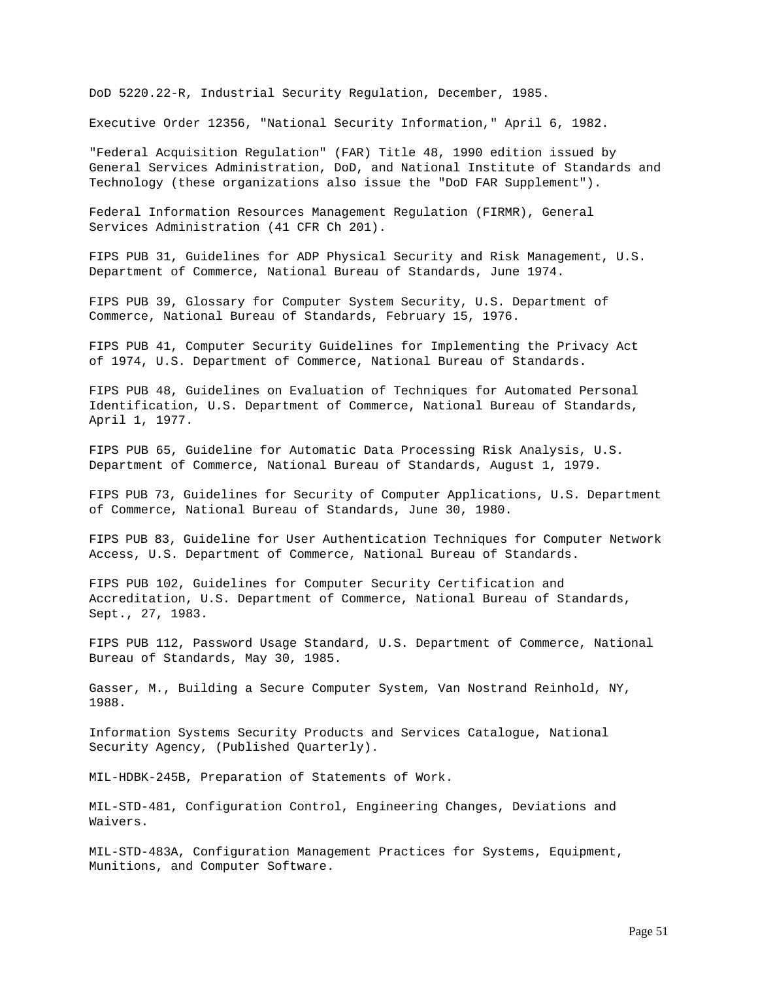DoD 5220.22-R, Industrial Security Regulation, December, 1985.

Executive Order 12356, "National Security Information," April 6, 1982.

"Federal Acquisition Regulation" (FAR) Title 48, 1990 edition issued by General Services Administration, DoD, and National Institute of Standards and Technology (these organizations also issue the "DoD FAR Supplement").

Federal Information Resources Management Regulation (FIRMR), General Services Administration (41 CFR Ch 201).

FIPS PUB 31, Guidelines for ADP Physical Security and Risk Management, U.S. Department of Commerce, National Bureau of Standards, June 1974.

FIPS PUB 39, Glossary for Computer System Security, U.S. Department of Commerce, National Bureau of Standards, February 15, 1976.

FIPS PUB 41, Computer Security Guidelines for Implementing the Privacy Act of 1974, U.S. Department of Commerce, National Bureau of Standards.

FIPS PUB 48, Guidelines on Evaluation of Techniques for Automated Personal Identification, U.S. Department of Commerce, National Bureau of Standards, April 1, 1977.

FIPS PUB 65, Guideline for Automatic Data Processing Risk Analysis, U.S. Department of Commerce, National Bureau of Standards, August 1, 1979.

FIPS PUB 73, Guidelines for Security of Computer Applications, U.S. Department of Commerce, National Bureau of Standards, June 30, 1980.

FIPS PUB 83, Guideline for User Authentication Techniques for Computer Network Access, U.S. Department of Commerce, National Bureau of Standards.

FIPS PUB 102, Guidelines for Computer Security Certification and Accreditation, U.S. Department of Commerce, National Bureau of Standards, Sept., 27, 1983.

FIPS PUB 112, Password Usage Standard, U.S. Department of Commerce, National Bureau of Standards, May 30, 1985.

Gasser, M., Building a Secure Computer System, Van Nostrand Reinhold, NY, 1988.

Information Systems Security Products and Services Catalogue, National Security Agency, (Published Quarterly).

MIL-HDBK-245B, Preparation of Statements of Work.

MIL-STD-481, Configuration Control, Engineering Changes, Deviations and Waivers.

MIL-STD-483A, Configuration Management Practices for Systems, Equipment, Munitions, and Computer Software.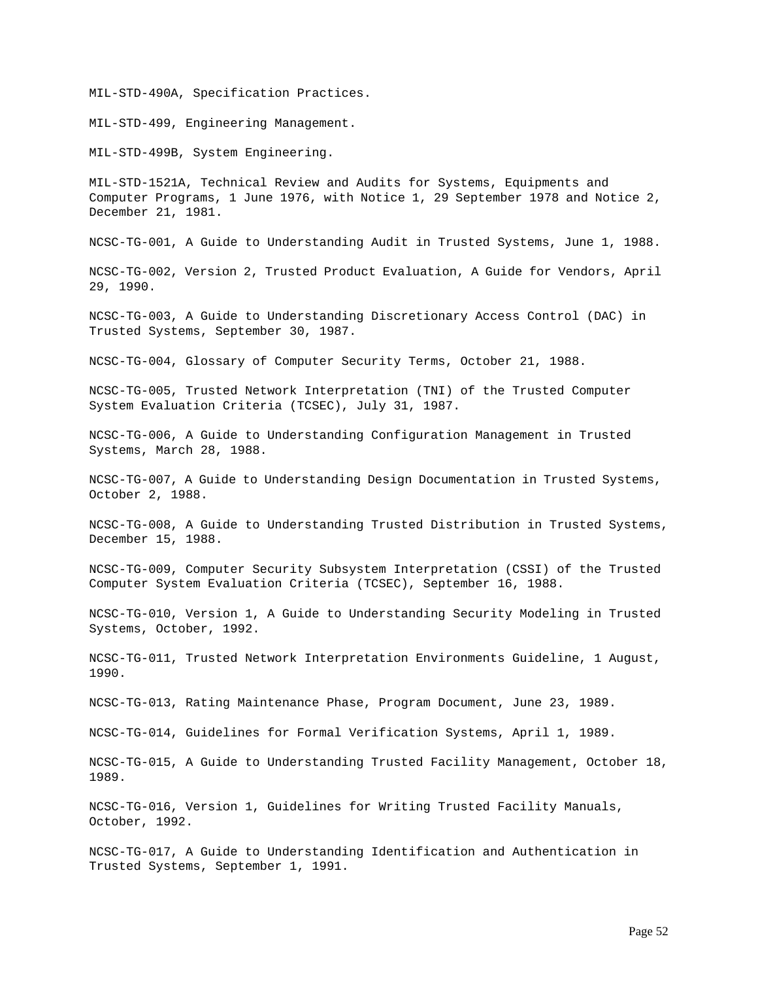MIL-STD-490A, Specification Practices.

MIL-STD-499, Engineering Management.

MIL-STD-499B, System Engineering.

MIL-STD-1521A, Technical Review and Audits for Systems, Equipments and Computer Programs, 1 June 1976, with Notice 1, 29 September 1978 and Notice 2, December 21, 1981.

NCSC-TG-001, A Guide to Understanding Audit in Trusted Systems, June 1, 1988.

NCSC-TG-002, Version 2, Trusted Product Evaluation, A Guide for Vendors, April 29, 1990.

NCSC-TG-003, A Guide to Understanding Discretionary Access Control (DAC) in Trusted Systems, September 30, 1987.

NCSC-TG-004, Glossary of Computer Security Terms, October 21, 1988.

NCSC-TG-005, Trusted Network Interpretation (TNI) of the Trusted Computer System Evaluation Criteria (TCSEC), July 31, 1987.

NCSC-TG-006, A Guide to Understanding Configuration Management in Trusted Systems, March 28, 1988.

NCSC-TG-007, A Guide to Understanding Design Documentation in Trusted Systems, October 2, 1988.

NCSC-TG-008, A Guide to Understanding Trusted Distribution in Trusted Systems, December 15, 1988.

NCSC-TG-009, Computer Security Subsystem Interpretation (CSSI) of the Trusted Computer System Evaluation Criteria (TCSEC), September 16, 1988.

NCSC-TG-010, Version 1, A Guide to Understanding Security Modeling in Trusted Systems, October, 1992.

NCSC-TG-011, Trusted Network Interpretation Environments Guideline, 1 August, 1990.

NCSC-TG-013, Rating Maintenance Phase, Program Document, June 23, 1989.

NCSC-TG-014, Guidelines for Formal Verification Systems, April 1, 1989.

NCSC-TG-015, A Guide to Understanding Trusted Facility Management, October 18, 1989.

NCSC-TG-016, Version 1, Guidelines for Writing Trusted Facility Manuals, October, 1992.

NCSC-TG-017, A Guide to Understanding Identification and Authentication in Trusted Systems, September 1, 1991.